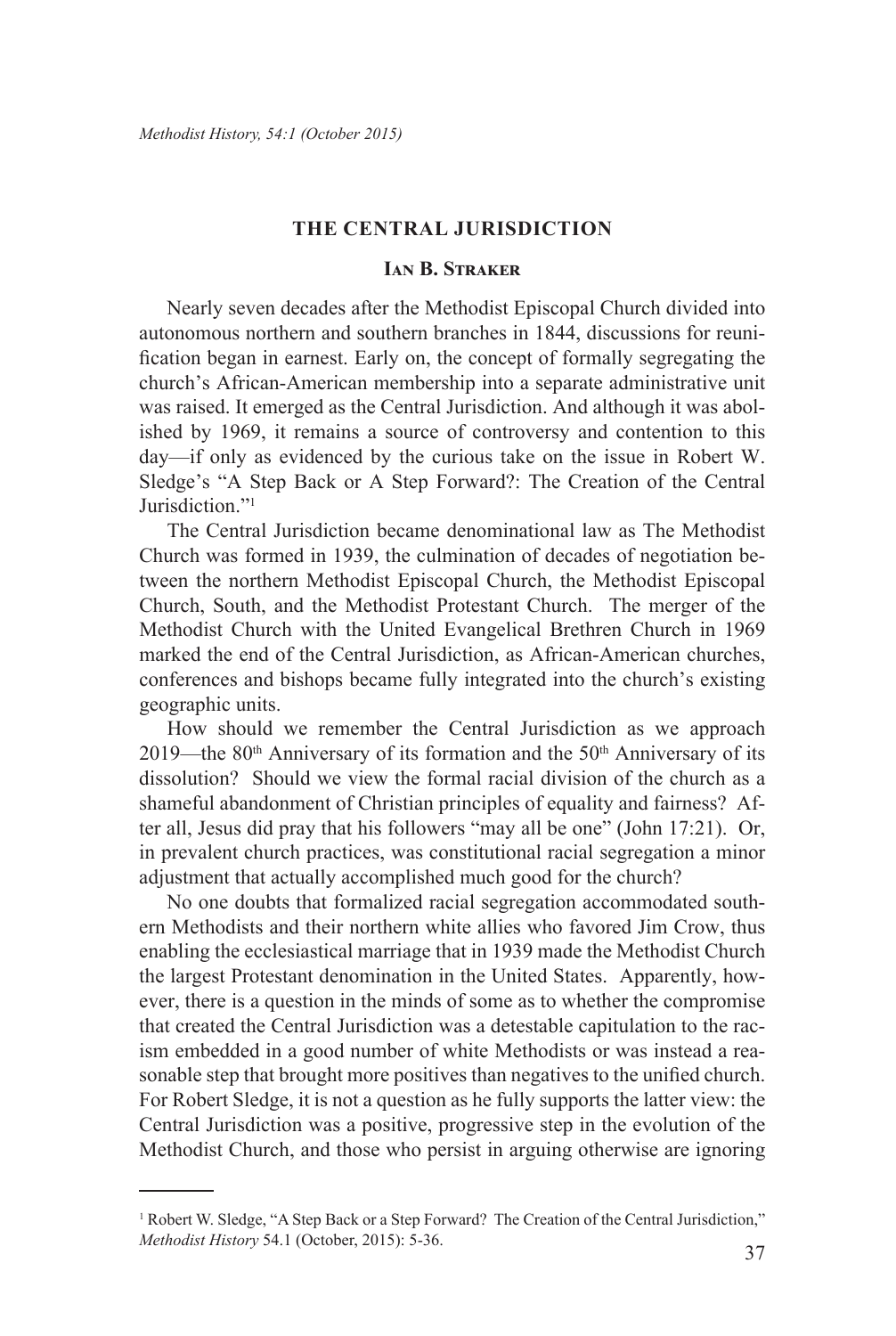#### **THE CENTRAL JURISDICTION**

## **Ian B. Straker**

Nearly seven decades after the Methodist Episcopal Church divided into autonomous northern and southern branches in 1844, discussions for reunification began in earnest. Early on, the concept of formally segregating the church's African-American membership into a separate administrative unit was raised. It emerged as the Central Jurisdiction. And although it was abolished by 1969, it remains a source of controversy and contention to this day—if only as evidenced by the curious take on the issue in Robert W. Sledge's "A Step Back or A Step Forward?: The Creation of the Central Jurisdiction."<sup>1</sup>

The Central Jurisdiction became denominational law as The Methodist Church was formed in 1939, the culmination of decades of negotiation between the northern Methodist Episcopal Church, the Methodist Episcopal Church, South, and the Methodist Protestant Church. The merger of the Methodist Church with the United Evangelical Brethren Church in 1969 marked the end of the Central Jurisdiction, as African-American churches, conferences and bishops became fully integrated into the church's existing geographic units.

How should we remember the Central Jurisdiction as we approach 2019—the  $80<sup>th</sup>$  Anniversary of its formation and the  $50<sup>th</sup>$  Anniversary of its dissolution? Should we view the formal racial division of the church as a shameful abandonment of Christian principles of equality and fairness? After all, Jesus did pray that his followers "may all be one" (John 17:21). Or, in prevalent church practices, was constitutional racial segregation a minor adjustment that actually accomplished much good for the church?

No one doubts that formalized racial segregation accommodated southern Methodists and their northern white allies who favored Jim Crow, thus enabling the ecclesiastical marriage that in 1939 made the Methodist Church the largest Protestant denomination in the United States. Apparently, however, there is a question in the minds of some as to whether the compromise that created the Central Jurisdiction was a detestable capitulation to the racism embedded in a good number of white Methodists or was instead a reasonable step that brought more positives than negatives to the unified church. For Robert Sledge, it is not a question as he fully supports the latter view: the Central Jurisdiction was a positive, progressive step in the evolution of the Methodist Church, and those who persist in arguing otherwise are ignoring

<sup>&</sup>lt;sup>1</sup> Robert W. Sledge, "A Step Back or a Step Forward? The Creation of the Central Jurisdiction," *Methodist History* 54.1 (October, 2015): 5-36.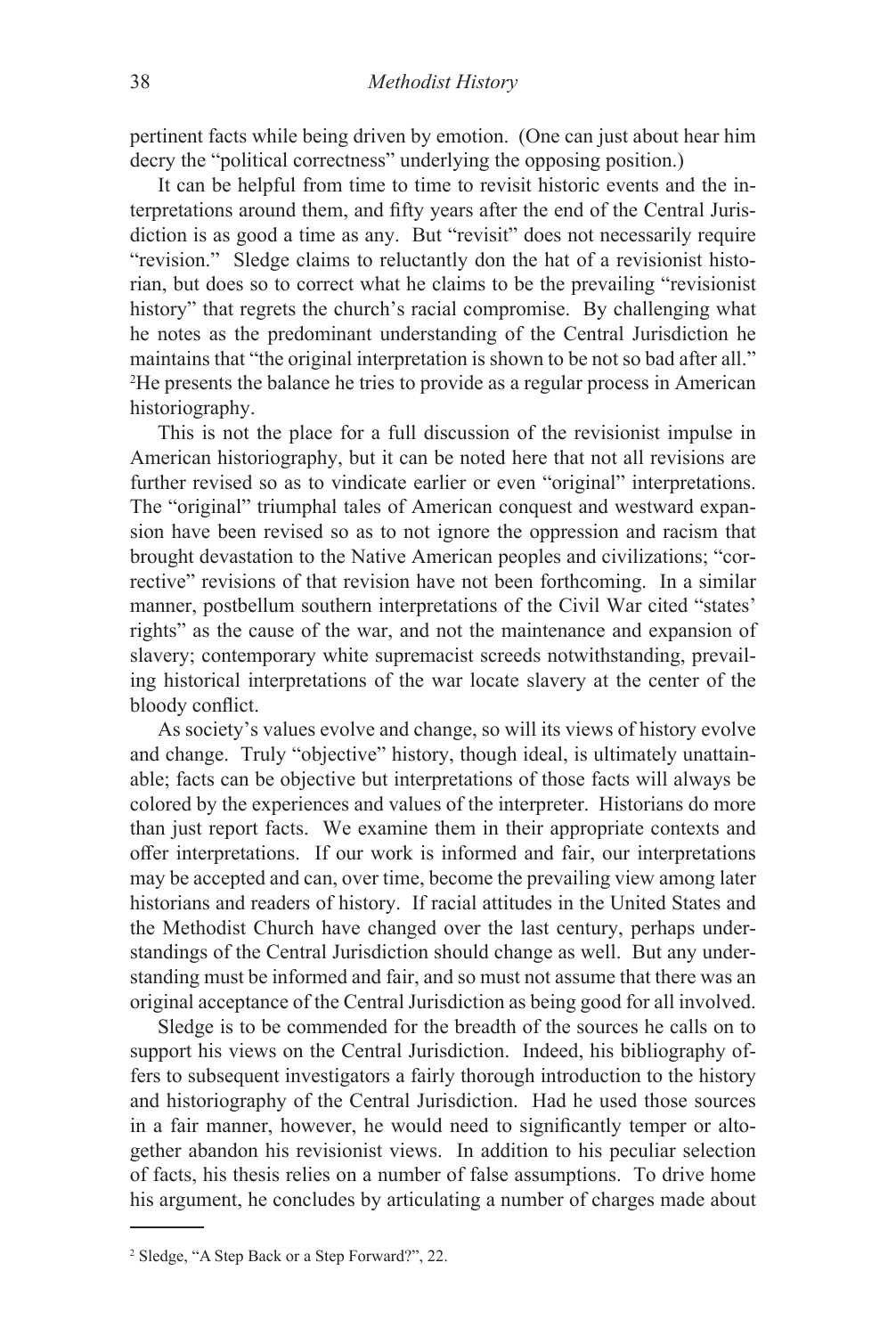pertinent facts while being driven by emotion. (One can just about hear him decry the "political correctness" underlying the opposing position.)

It can be helpful from time to time to revisit historic events and the interpretations around them, and fifty years after the end of the Central Jurisdiction is as good a time as any. But "revisit" does not necessarily require "revision." Sledge claims to reluctantly don the hat of a revisionist historian, but does so to correct what he claims to be the prevailing "revisionist history" that regrets the church's racial compromise. By challenging what he notes as the predominant understanding of the Central Jurisdiction he maintains that "the original interpretation is shown to be not so bad after all." 2 He presents the balance he tries to provide as a regular process in American historiography.

This is not the place for a full discussion of the revisionist impulse in American historiography, but it can be noted here that not all revisions are further revised so as to vindicate earlier or even "original" interpretations. The "original" triumphal tales of American conquest and westward expansion have been revised so as to not ignore the oppression and racism that brought devastation to the Native American peoples and civilizations; "corrective" revisions of that revision have not been forthcoming. In a similar manner, postbellum southern interpretations of the Civil War cited "states' rights" as the cause of the war, and not the maintenance and expansion of slavery; contemporary white supremacist screeds notwithstanding, prevailing historical interpretations of the war locate slavery at the center of the bloody conflict.

As society's values evolve and change, so will its views of history evolve and change. Truly "objective" history, though ideal, is ultimately unattainable; facts can be objective but interpretations of those facts will always be colored by the experiences and values of the interpreter. Historians do more than just report facts. We examine them in their appropriate contexts and offer interpretations. If our work is informed and fair, our interpretations may be accepted and can, over time, become the prevailing view among later historians and readers of history. If racial attitudes in the United States and the Methodist Church have changed over the last century, perhaps understandings of the Central Jurisdiction should change as well. But any understanding must be informed and fair, and so must not assume that there was an original acceptance of the Central Jurisdiction as being good for all involved.

Sledge is to be commended for the breadth of the sources he calls on to support his views on the Central Jurisdiction. Indeed, his bibliography offers to subsequent investigators a fairly thorough introduction to the history and historiography of the Central Jurisdiction. Had he used those sources in a fair manner, however, he would need to significantly temper or altogether abandon his revisionist views. In addition to his peculiar selection of facts, his thesis relies on a number of false assumptions. To drive home his argument, he concludes by articulating a number of charges made about

<sup>2</sup> Sledge, "A Step Back or a Step Forward?", 22.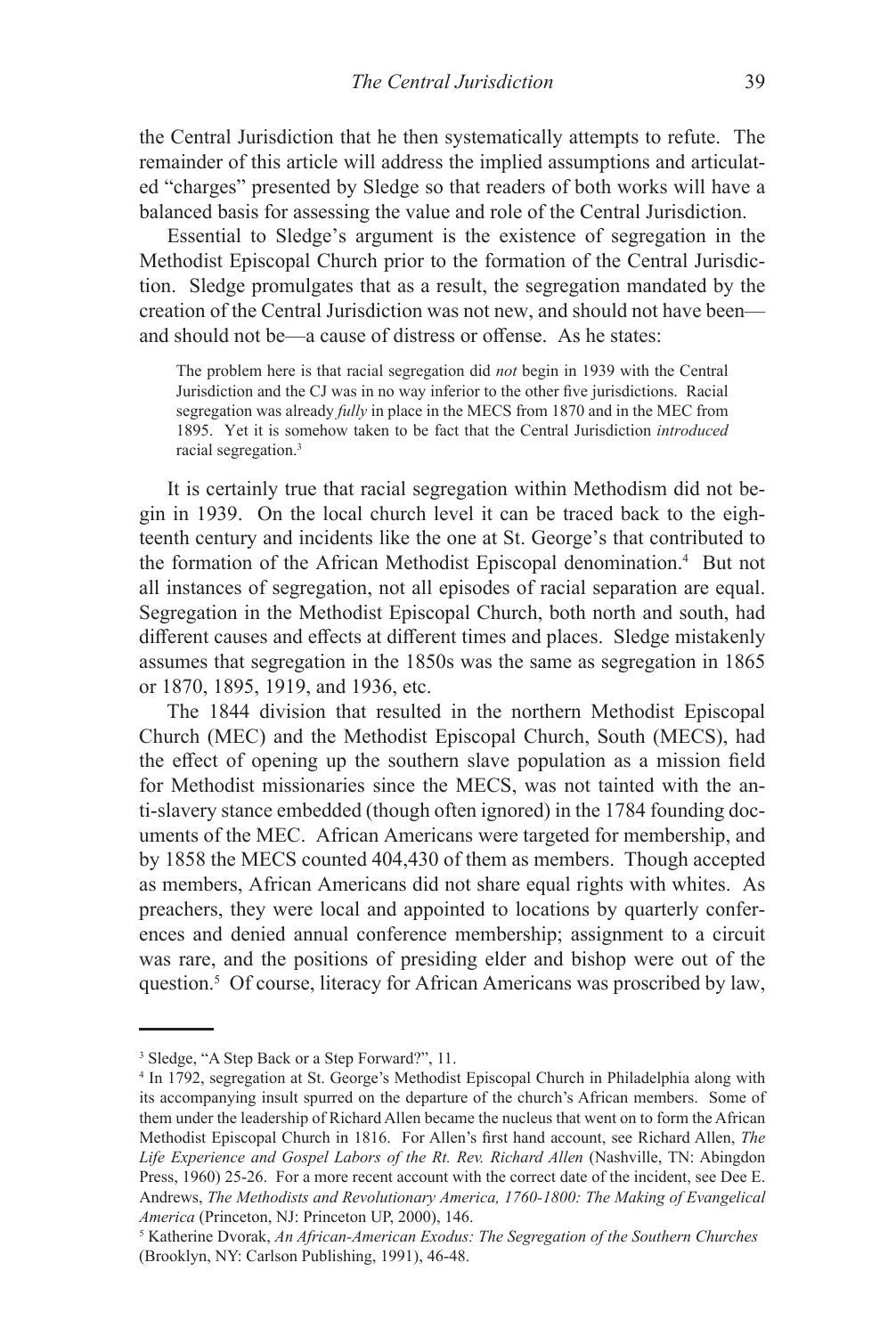the Central Jurisdiction that he then systematically attempts to refute. The remainder of this article will address the implied assumptions and articulated "charges" presented by Sledge so that readers of both works will have a balanced basis for assessing the value and role of the Central Jurisdiction.

Essential to Sledge's argument is the existence of segregation in the Methodist Episcopal Church prior to the formation of the Central Jurisdiction. Sledge promulgates that as a result, the segregation mandated by the creation of the Central Jurisdiction was not new, and should not have been and should not be—a cause of distress or offense. As he states:

The problem here is that racial segregation did *not* begin in 1939 with the Central Jurisdiction and the CJ was in no way inferior to the other five jurisdictions. Racial segregation was already *fully* in place in the MECS from 1870 and in the MEC from 1895. Yet it is somehow taken to be fact that the Central Jurisdiction *introduced* racial segregation.3

It is certainly true that racial segregation within Methodism did not begin in 1939. On the local church level it can be traced back to the eighteenth century and incidents like the one at St. George's that contributed to the formation of the African Methodist Episcopal denomination.4 But not all instances of segregation, not all episodes of racial separation are equal. Segregation in the Methodist Episcopal Church, both north and south, had different causes and effects at different times and places. Sledge mistakenly assumes that segregation in the 1850s was the same as segregation in 1865 or 1870, 1895, 1919, and 1936, etc.

The 1844 division that resulted in the northern Methodist Episcopal Church (MEC) and the Methodist Episcopal Church, South (MECS), had the effect of opening up the southern slave population as a mission field for Methodist missionaries since the MECS, was not tainted with the anti-slavery stance embedded (though often ignored) in the 1784 founding documents of the MEC. African Americans were targeted for membership, and by 1858 the MECS counted 404,430 of them as members. Though accepted as members, African Americans did not share equal rights with whites. As preachers, they were local and appointed to locations by quarterly conferences and denied annual conference membership; assignment to a circuit was rare, and the positions of presiding elder and bishop were out of the question.<sup>5</sup> Of course, literacy for African Americans was proscribed by law,

<sup>3</sup> Sledge, "A Step Back or a Step Forward?", 11.

<sup>4</sup> In 1792, segregation at St. George's Methodist Episcopal Church in Philadelphia along with its accompanying insult spurred on the departure of the church's African members. Some of them under the leadership of Richard Allen became the nucleus that went on to form the African Methodist Episcopal Church in 1816. For Allen's first hand account, see Richard Allen, *The Life Experience and Gospel Labors of the Rt. Rev. Richard Allen* (Nashville, TN: Abingdon Press, 1960) 25-26. For a more recent account with the correct date of the incident, see Dee E. Andrews, *The Methodists and Revolutionary America, 1760-1800: The Making of Evangelical America* (Princeton, NJ: Princeton UP, 2000), 146.

<sup>5</sup> Katherine Dvorak, *An African-American Exodus: The Segregation of the Southern Churches*  (Brooklyn, NY: Carlson Publishing, 1991), 46-48.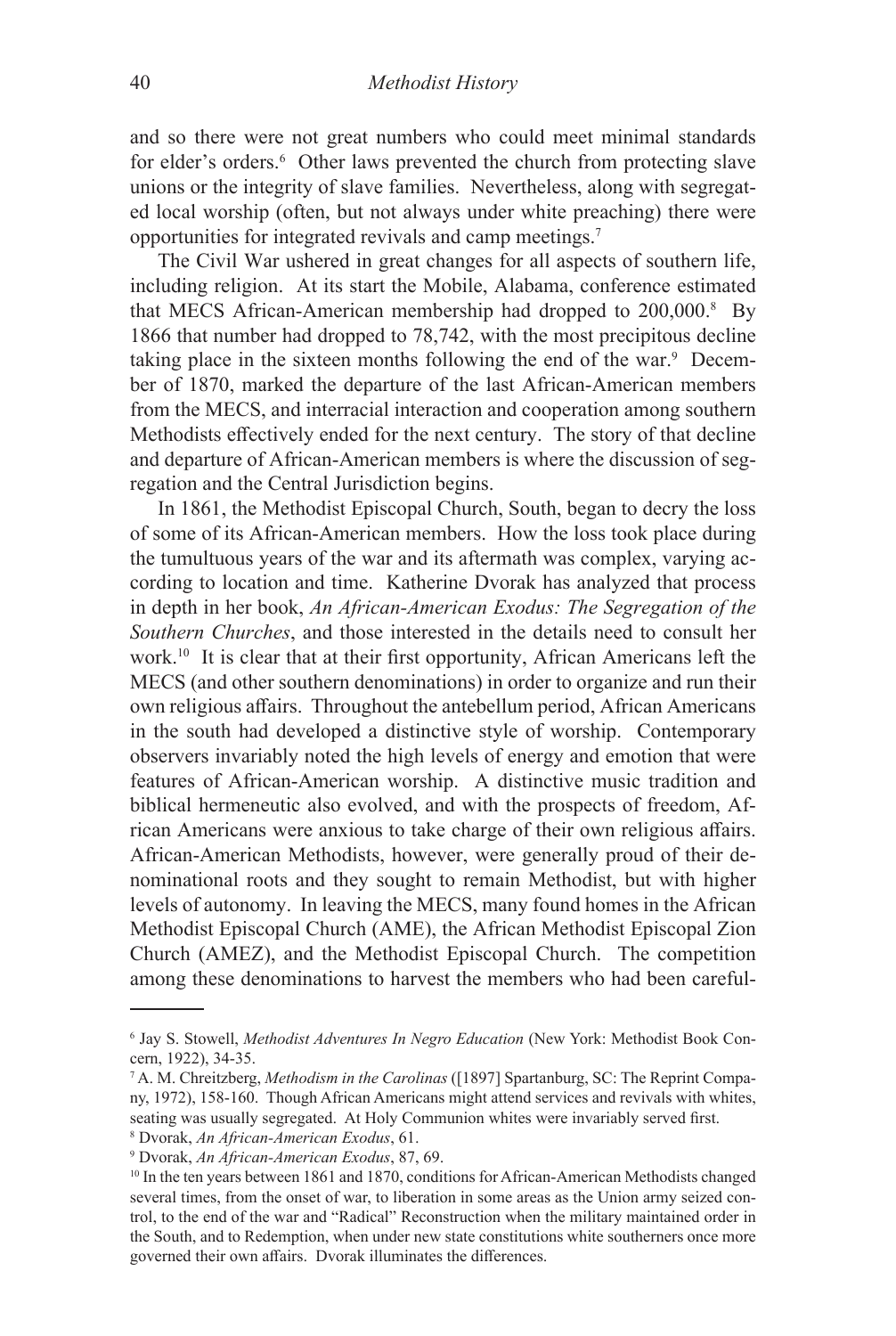and so there were not great numbers who could meet minimal standards for elder's orders.<sup>6</sup> Other laws prevented the church from protecting slave unions or the integrity of slave families. Nevertheless, along with segregated local worship (often, but not always under white preaching) there were opportunities for integrated revivals and camp meetings.<sup>7</sup>

The Civil War ushered in great changes for all aspects of southern life, including religion. At its start the Mobile, Alabama, conference estimated that MECS African-American membership had dropped to 200,000.8 By 1866 that number had dropped to 78,742, with the most precipitous decline taking place in the sixteen months following the end of the war.<sup>9</sup> December of 1870, marked the departure of the last African-American members from the MECS, and interracial interaction and cooperation among southern Methodists effectively ended for the next century. The story of that decline and departure of African-American members is where the discussion of segregation and the Central Jurisdiction begins.

In 1861, the Methodist Episcopal Church, South, began to decry the loss of some of its African-American members. How the loss took place during the tumultuous years of the war and its aftermath was complex, varying according to location and time. Katherine Dvorak has analyzed that process in depth in her book, *An African-American Exodus: The Segregation of the Southern Churches*, and those interested in the details need to consult her work.<sup>10</sup> It is clear that at their first opportunity, African Americans left the MECS (and other southern denominations) in order to organize and run their own religious affairs. Throughout the antebellum period, African Americans in the south had developed a distinctive style of worship. Contemporary observers invariably noted the high levels of energy and emotion that were features of African-American worship. A distinctive music tradition and biblical hermeneutic also evolved, and with the prospects of freedom, African Americans were anxious to take charge of their own religious affairs. African-American Methodists, however, were generally proud of their denominational roots and they sought to remain Methodist, but with higher levels of autonomy. In leaving the MECS, many found homes in the African Methodist Episcopal Church (AME), the African Methodist Episcopal Zion Church (AMEZ), and the Methodist Episcopal Church. The competition among these denominations to harvest the members who had been careful-

<sup>6</sup> Jay S. Stowell, *Methodist Adventures In Negro Education* (New York: Methodist Book Concern, 1922), 34-35.

<sup>7</sup> A. M. Chreitzberg, *Methodism in the Carolinas* ([1897] Spartanburg, SC: The Reprint Company, 1972), 158-160. Though African Americans might attend services and revivals with whites, seating was usually segregated. At Holy Communion whites were invariably served first.

<sup>8</sup> Dvorak, *An African-American Exodus*, 61.

<sup>9</sup> Dvorak, *An African-American Exodus*, 87, 69.

<sup>&</sup>lt;sup>10</sup> In the ten years between 1861 and 1870, conditions for African-American Methodists changed several times, from the onset of war, to liberation in some areas as the Union army seized control, to the end of the war and "Radical" Reconstruction when the military maintained order in the South, and to Redemption, when under new state constitutions white southerners once more governed their own affairs. Dvorak illuminates the differences.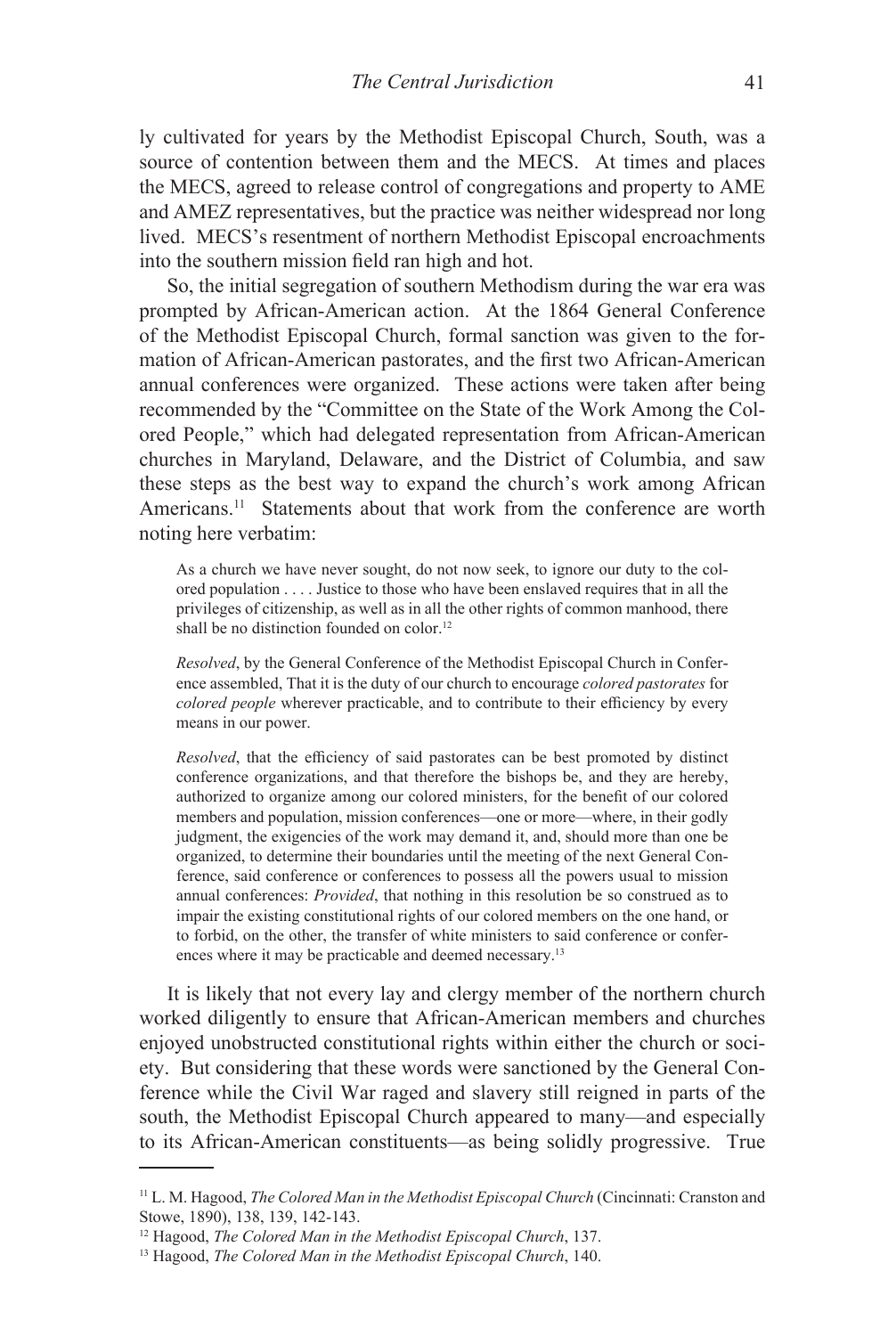ly cultivated for years by the Methodist Episcopal Church, South, was a source of contention between them and the MECS. At times and places the MECS, agreed to release control of congregations and property to AME and AMEZ representatives, but the practice was neither widespread nor long lived. MECS's resentment of northern Methodist Episcopal encroachments into the southern mission field ran high and hot.

So, the initial segregation of southern Methodism during the war era was prompted by African-American action. At the 1864 General Conference of the Methodist Episcopal Church, formal sanction was given to the formation of African-American pastorates, and the first two African-American annual conferences were organized. These actions were taken after being recommended by the "Committee on the State of the Work Among the Colored People," which had delegated representation from African-American churches in Maryland, Delaware, and the District of Columbia, and saw these steps as the best way to expand the church's work among African Americans.<sup>11</sup> Statements about that work from the conference are worth noting here verbatim:

As a church we have never sought, do not now seek, to ignore our duty to the colored population . . . . Justice to those who have been enslaved requires that in all the privileges of citizenship, as well as in all the other rights of common manhood, there shall be no distinction founded on color.<sup>12</sup>

*Resolved*, by the General Conference of the Methodist Episcopal Church in Conference assembled, That it is the duty of our church to encourage *colored pastorates* for *colored people* wherever practicable, and to contribute to their efficiency by every means in our power.

*Resolved*, that the efficiency of said pastorates can be best promoted by distinct conference organizations, and that therefore the bishops be, and they are hereby, authorized to organize among our colored ministers, for the benefit of our colored members and population, mission conferences—one or more—where, in their godly judgment, the exigencies of the work may demand it, and, should more than one be organized, to determine their boundaries until the meeting of the next General Conference, said conference or conferences to possess all the powers usual to mission annual conferences: *Provided*, that nothing in this resolution be so construed as to impair the existing constitutional rights of our colored members on the one hand, or to forbid, on the other, the transfer of white ministers to said conference or conferences where it may be practicable and deemed necessary.<sup>13</sup>

It is likely that not every lay and clergy member of the northern church worked diligently to ensure that African-American members and churches enjoyed unobstructed constitutional rights within either the church or society. But considering that these words were sanctioned by the General Conference while the Civil War raged and slavery still reigned in parts of the south, the Methodist Episcopal Church appeared to many—and especially to its African-American constituents—as being solidly progressive. True

<sup>11</sup> L. M. Hagood, *The Colored Man in the Methodist Episcopal Church* (Cincinnati: Cranston and Stowe, 1890), 138, 139, 142-143.

<sup>12</sup> Hagood, *The Colored Man in the Methodist Episcopal Church*, 137.

<sup>13</sup> Hagood, *The Colored Man in the Methodist Episcopal Church*, 140.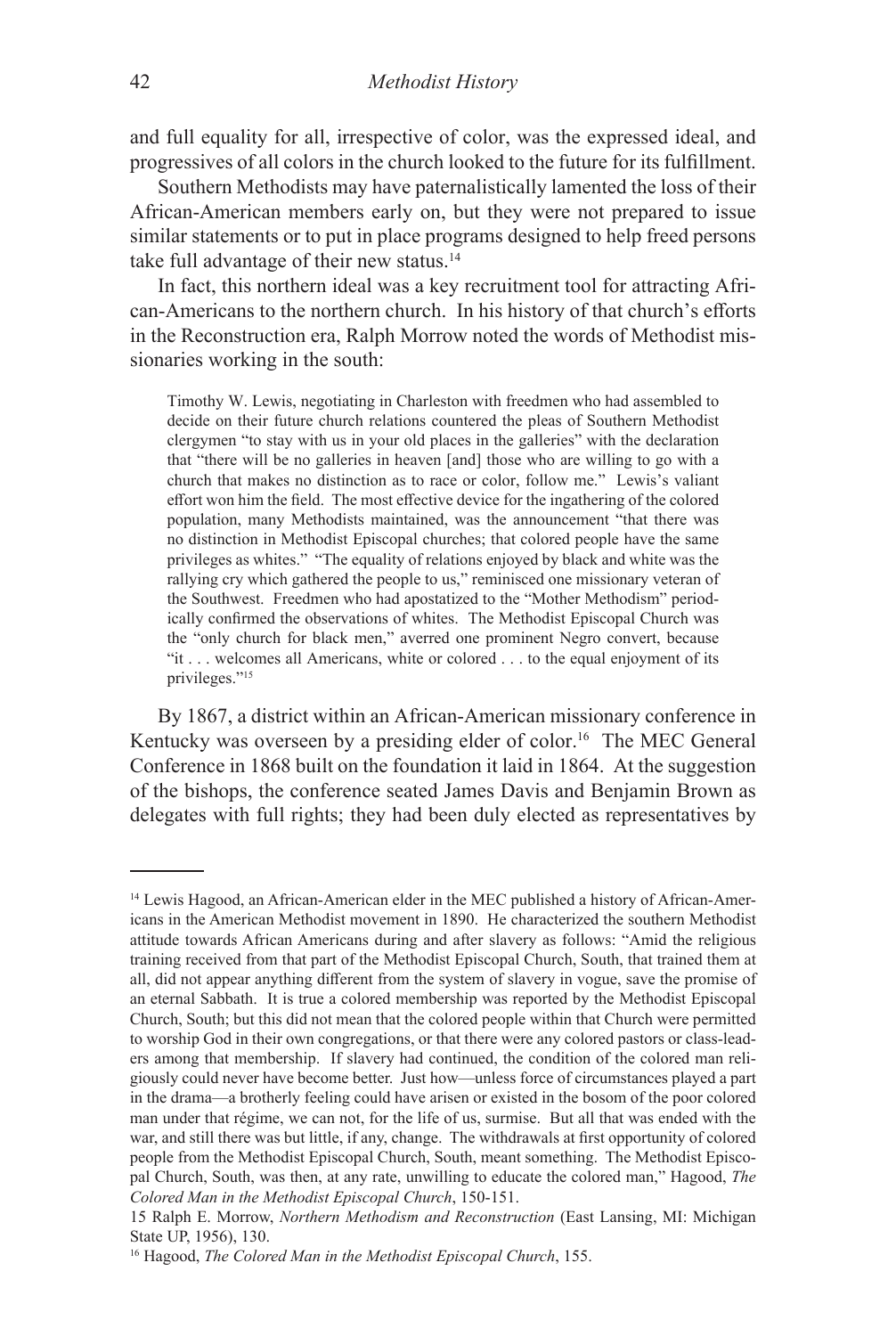and full equality for all, irrespective of color, was the expressed ideal, and progressives of all colors in the church looked to the future for its fulfillment.

Southern Methodists may have paternalistically lamented the loss of their African-American members early on, but they were not prepared to issue similar statements or to put in place programs designed to help freed persons take full advantage of their new status.14

In fact, this northern ideal was a key recruitment tool for attracting African-Americans to the northern church. In his history of that church's efforts in the Reconstruction era, Ralph Morrow noted the words of Methodist missionaries working in the south:

Timothy W. Lewis, negotiating in Charleston with freedmen who had assembled to decide on their future church relations countered the pleas of Southern Methodist clergymen "to stay with us in your old places in the galleries" with the declaration that "there will be no galleries in heaven [and] those who are willing to go with a church that makes no distinction as to race or color, follow me." Lewis's valiant effort won him the field. The most effective device for the ingathering of the colored population, many Methodists maintained, was the announcement "that there was no distinction in Methodist Episcopal churches; that colored people have the same privileges as whites." "The equality of relations enjoyed by black and white was the rallying cry which gathered the people to us," reminisced one missionary veteran of the Southwest. Freedmen who had apostatized to the "Mother Methodism" periodically confirmed the observations of whites. The Methodist Episcopal Church was the "only church for black men," averred one prominent Negro convert, because "it . . . welcomes all Americans, white or colored . . . to the equal enjoyment of its privileges."<sup>15</sup>

By 1867, a district within an African-American missionary conference in Kentucky was overseen by a presiding elder of color.<sup>16</sup> The MEC General Conference in 1868 built on the foundation it laid in 1864. At the suggestion of the bishops, the conference seated James Davis and Benjamin Brown as delegates with full rights; they had been duly elected as representatives by

<sup>&</sup>lt;sup>14</sup> Lewis Hagood, an African-American elder in the MEC published a history of African-Americans in the American Methodist movement in 1890. He characterized the southern Methodist attitude towards African Americans during and after slavery as follows: "Amid the religious training received from that part of the Methodist Episcopal Church, South, that trained them at all, did not appear anything different from the system of slavery in vogue, save the promise of an eternal Sabbath. It is true a colored membership was reported by the Methodist Episcopal Church, South; but this did not mean that the colored people within that Church were permitted to worship God in their own congregations, or that there were any colored pastors or class-leaders among that membership. If slavery had continued, the condition of the colored man religiously could never have become better. Just how—unless force of circumstances played a part in the drama—a brotherly feeling could have arisen or existed in the bosom of the poor colored man under that régime, we can not, for the life of us, surmise. But all that was ended with the war, and still there was but little, if any, change. The withdrawals at first opportunity of colored people from the Methodist Episcopal Church, South, meant something. The Methodist Episcopal Church, South, was then, at any rate, unwilling to educate the colored man," Hagood, *The Colored Man in the Methodist Episcopal Church*, 150-151.

<sup>15</sup> Ralph E. Morrow, *Northern Methodism and Reconstruction* (East Lansing, MI: Michigan State UP, 1956), 130.

<sup>16</sup> Hagood, *The Colored Man in the Methodist Episcopal Church*, 155.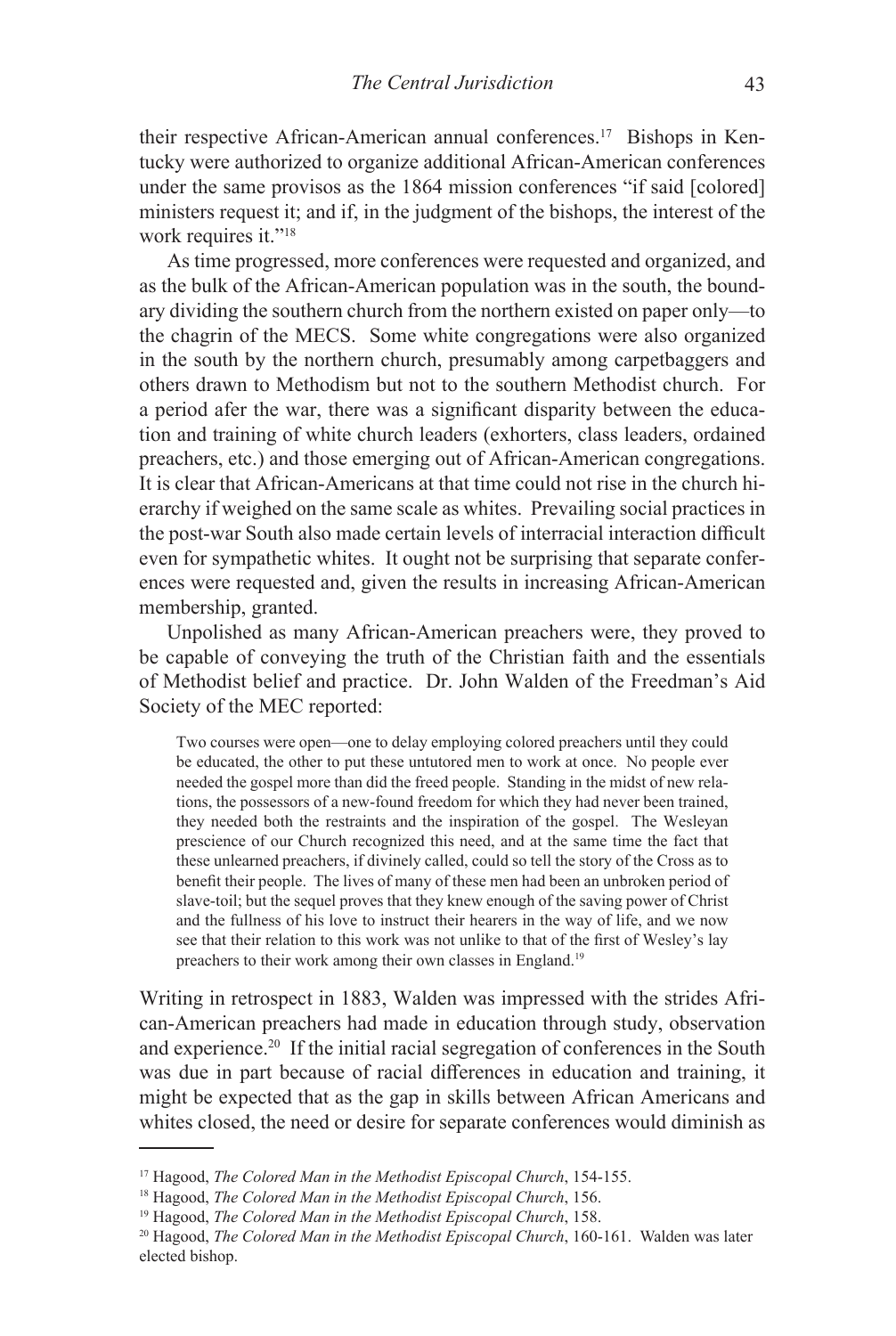their respective African-American annual conferences.17 Bishops in Kentucky were authorized to organize additional African-American conferences under the same provisos as the 1864 mission conferences "if said [colored] ministers request it; and if, in the judgment of the bishops, the interest of the work requires it."<sup>18</sup>

As time progressed, more conferences were requested and organized, and as the bulk of the African-American population was in the south, the boundary dividing the southern church from the northern existed on paper only—to the chagrin of the MECS. Some white congregations were also organized in the south by the northern church, presumably among carpetbaggers and others drawn to Methodism but not to the southern Methodist church. For a period afer the war, there was a significant disparity between the education and training of white church leaders (exhorters, class leaders, ordained preachers, etc.) and those emerging out of African-American congregations. It is clear that African-Americans at that time could not rise in the church hierarchy if weighed on the same scale as whites. Prevailing social practices in the post-war South also made certain levels of interracial interaction difficult even for sympathetic whites. It ought not be surprising that separate conferences were requested and, given the results in increasing African-American membership, granted.

Unpolished as many African-American preachers were, they proved to be capable of conveying the truth of the Christian faith and the essentials of Methodist belief and practice. Dr. John Walden of the Freedman's Aid Society of the MEC reported:

Two courses were open—one to delay employing colored preachers until they could be educated, the other to put these untutored men to work at once. No people ever needed the gospel more than did the freed people. Standing in the midst of new relations, the possessors of a new-found freedom for which they had never been trained, they needed both the restraints and the inspiration of the gospel. The Wesleyan prescience of our Church recognized this need, and at the same time the fact that these unlearned preachers, if divinely called, could so tell the story of the Cross as to benefit their people. The lives of many of these men had been an unbroken period of slave-toil; but the sequel proves that they knew enough of the saving power of Christ and the fullness of his love to instruct their hearers in the way of life, and we now see that their relation to this work was not unlike to that of the first of Wesley's lay preachers to their work among their own classes in England.19

Writing in retrospect in 1883, Walden was impressed with the strides African-American preachers had made in education through study, observation and experience.<sup>20</sup> If the initial racial segregation of conferences in the South was due in part because of racial differences in education and training, it might be expected that as the gap in skills between African Americans and whites closed, the need or desire for separate conferences would diminish as

<sup>17</sup> Hagood, *The Colored Man in the Methodist Episcopal Church*, 154-155.

<sup>18</sup> Hagood, *The Colored Man in the Methodist Episcopal Church*, 156.

<sup>19</sup> Hagood, *The Colored Man in the Methodist Episcopal Church*, 158.

<sup>20</sup> Hagood, *The Colored Man in the Methodist Episcopal Church*, 160-161. Walden was later elected bishop.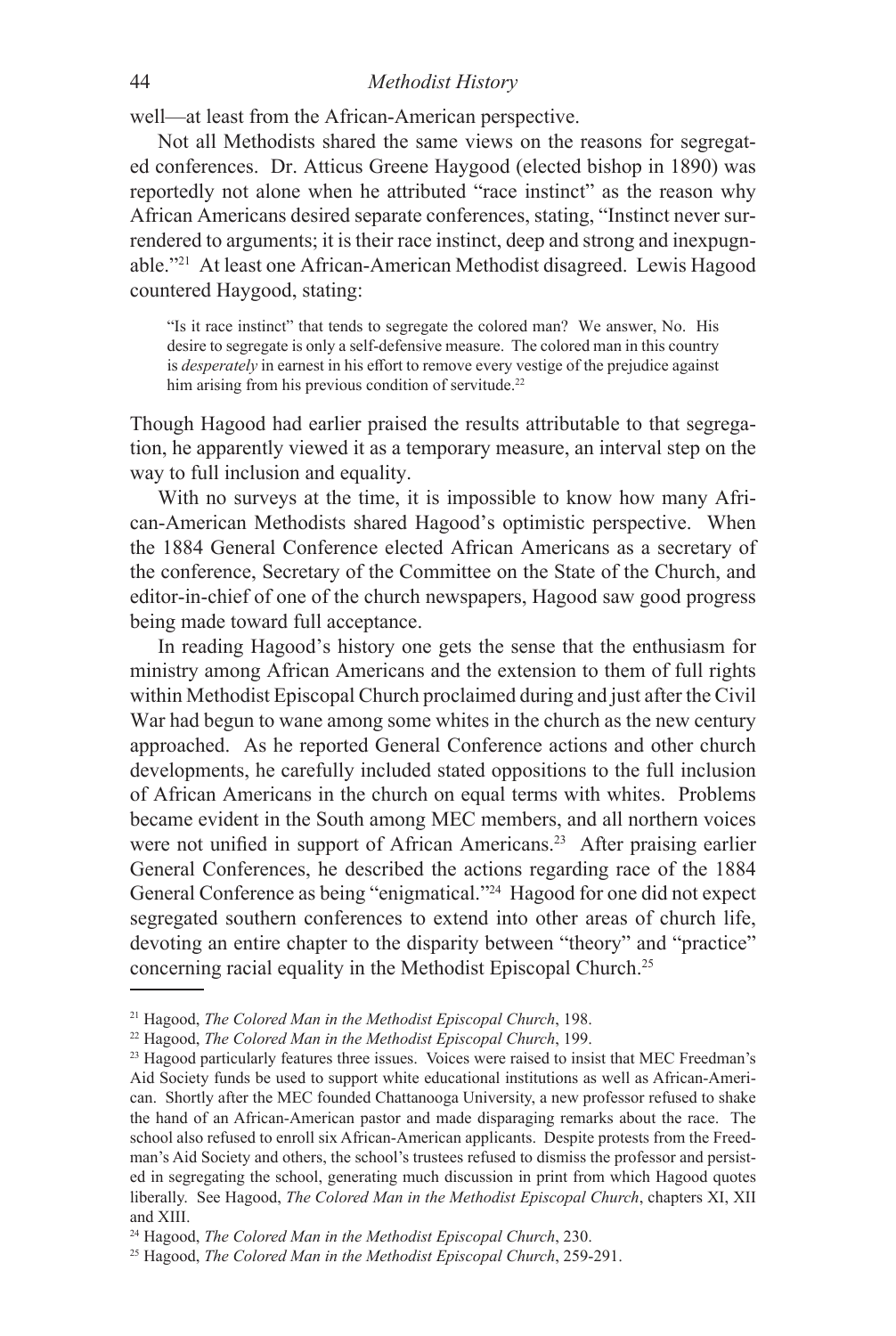### 44 *Methodist History*

well—at least from the African-American perspective.

Not all Methodists shared the same views on the reasons for segregated conferences. Dr. Atticus Greene Haygood (elected bishop in 1890) was reportedly not alone when he attributed "race instinct" as the reason why African Americans desired separate conferences, stating, "Instinct never surrendered to arguments; it is their race instinct, deep and strong and inexpugnable."<sup>21</sup> At least one African-American Methodist disagreed. Lewis Hagood countered Haygood, stating:

"Is it race instinct" that tends to segregate the colored man? We answer, No. His desire to segregate is only a self-defensive measure. The colored man in this country is *desperately* in earnest in his effort to remove every vestige of the prejudice against him arising from his previous condition of servitude.<sup>22</sup>

Though Hagood had earlier praised the results attributable to that segregation, he apparently viewed it as a temporary measure, an interval step on the way to full inclusion and equality.

With no surveys at the time, it is impossible to know how many African-American Methodists shared Hagood's optimistic perspective. When the 1884 General Conference elected African Americans as a secretary of the conference, Secretary of the Committee on the State of the Church, and editor-in-chief of one of the church newspapers, Hagood saw good progress being made toward full acceptance.

In reading Hagood's history one gets the sense that the enthusiasm for ministry among African Americans and the extension to them of full rights within Methodist Episcopal Church proclaimed during and just after the Civil War had begun to wane among some whites in the church as the new century approached. As he reported General Conference actions and other church developments, he carefully included stated oppositions to the full inclusion of African Americans in the church on equal terms with whites. Problems became evident in the South among MEC members, and all northern voices were not unified in support of African Americans.<sup>23</sup> After praising earlier General Conferences, he described the actions regarding race of the 1884 General Conference as being "enigmatical."24 Hagood for one did not expect segregated southern conferences to extend into other areas of church life, devoting an entire chapter to the disparity between "theory" and "practice" concerning racial equality in the Methodist Episcopal Church.<sup>25</sup>

<sup>21</sup> Hagood, *The Colored Man in the Methodist Episcopal Church*, 198.

<sup>22</sup> Hagood, *The Colored Man in the Methodist Episcopal Church*, 199.

<sup>&</sup>lt;sup>23</sup> Hagood particularly features three issues. Voices were raised to insist that MEC Freedman's Aid Society funds be used to support white educational institutions as well as African-American. Shortly after the MEC founded Chattanooga University, a new professor refused to shake the hand of an African-American pastor and made disparaging remarks about the race. The school also refused to enroll six African-American applicants. Despite protests from the Freedman's Aid Society and others, the school's trustees refused to dismiss the professor and persisted in segregating the school, generating much discussion in print from which Hagood quotes liberally. See Hagood, *The Colored Man in the Methodist Episcopal Church*, chapters XI, XII and XIII.

<sup>24</sup> Hagood, *The Colored Man in the Methodist Episcopal Church*, 230.

<sup>25</sup> Hagood, *The Colored Man in the Methodist Episcopal Church*, 259-291.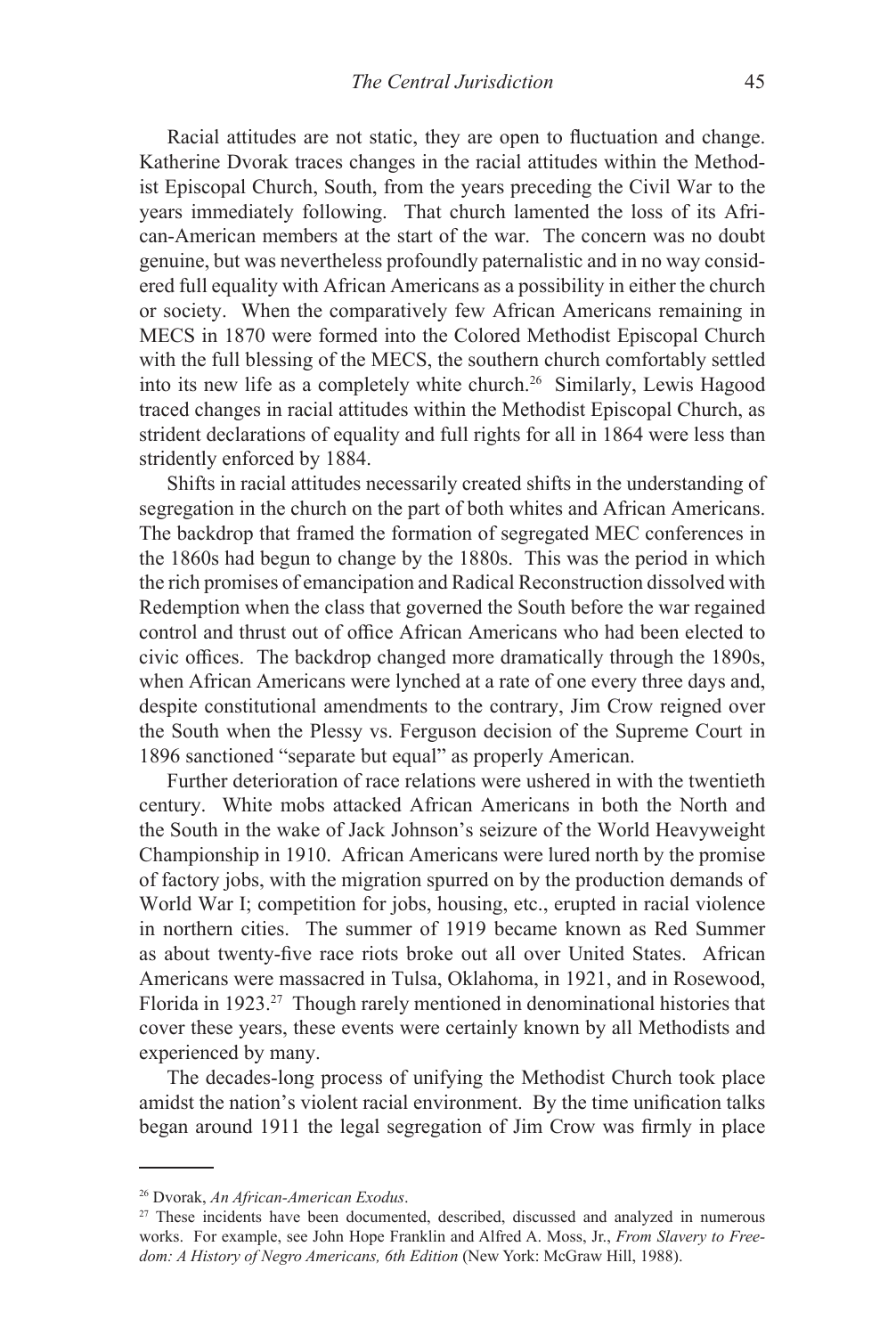Racial attitudes are not static, they are open to fluctuation and change. Katherine Dvorak traces changes in the racial attitudes within the Methodist Episcopal Church, South, from the years preceding the Civil War to the years immediately following. That church lamented the loss of its African-American members at the start of the war. The concern was no doubt genuine, but was nevertheless profoundly paternalistic and in no way considered full equality with African Americans as a possibility in either the church or society. When the comparatively few African Americans remaining in MECS in 1870 were formed into the Colored Methodist Episcopal Church with the full blessing of the MECS, the southern church comfortably settled into its new life as a completely white church.26 Similarly, Lewis Hagood traced changes in racial attitudes within the Methodist Episcopal Church, as strident declarations of equality and full rights for all in 1864 were less than stridently enforced by 1884.

Shifts in racial attitudes necessarily created shifts in the understanding of segregation in the church on the part of both whites and African Americans. The backdrop that framed the formation of segregated MEC conferences in the 1860s had begun to change by the 1880s. This was the period in which the rich promises of emancipation and Radical Reconstruction dissolved with Redemption when the class that governed the South before the war regained control and thrust out of office African Americans who had been elected to civic offices. The backdrop changed more dramatically through the 1890s, when African Americans were lynched at a rate of one every three days and, despite constitutional amendments to the contrary, Jim Crow reigned over the South when the Plessy vs. Ferguson decision of the Supreme Court in 1896 sanctioned "separate but equal" as properly American.

Further deterioration of race relations were ushered in with the twentieth century. White mobs attacked African Americans in both the North and the South in the wake of Jack Johnson's seizure of the World Heavyweight Championship in 1910. African Americans were lured north by the promise of factory jobs, with the migration spurred on by the production demands of World War I; competition for jobs, housing, etc., erupted in racial violence in northern cities. The summer of 1919 became known as Red Summer as about twenty-five race riots broke out all over United States. African Americans were massacred in Tulsa, Oklahoma, in 1921, and in Rosewood, Florida in 1923.27 Though rarely mentioned in denominational histories that cover these years, these events were certainly known by all Methodists and experienced by many.

The decades-long process of unifying the Methodist Church took place amidst the nation's violent racial environment. By the time unification talks began around 1911 the legal segregation of Jim Crow was firmly in place

<sup>26</sup> Dvorak, *An African-American Exodus*.

<sup>&</sup>lt;sup>27</sup> These incidents have been documented, described, discussed and analyzed in numerous works. For example, see John Hope Franklin and Alfred A. Moss, Jr., *From Slavery to Freedom: A History of Negro Americans, 6th Edition* (New York: McGraw Hill, 1988).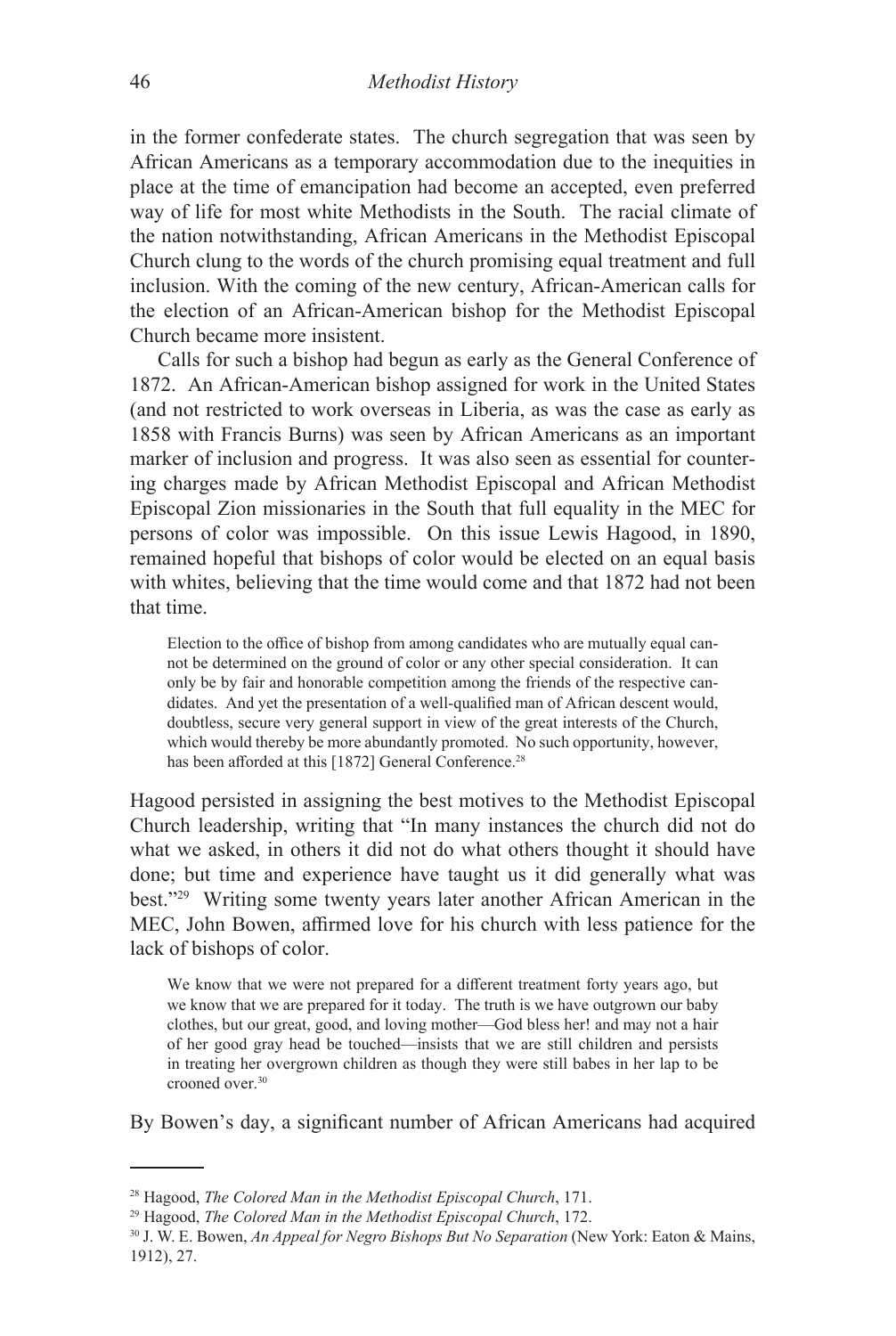in the former confederate states. The church segregation that was seen by African Americans as a temporary accommodation due to the inequities in place at the time of emancipation had become an accepted, even preferred way of life for most white Methodists in the South. The racial climate of the nation notwithstanding, African Americans in the Methodist Episcopal Church clung to the words of the church promising equal treatment and full inclusion. With the coming of the new century, African-American calls for the election of an African-American bishop for the Methodist Episcopal Church became more insistent.

Calls for such a bishop had begun as early as the General Conference of 1872. An African-American bishop assigned for work in the United States (and not restricted to work overseas in Liberia, as was the case as early as 1858 with Francis Burns) was seen by African Americans as an important marker of inclusion and progress. It was also seen as essential for countering charges made by African Methodist Episcopal and African Methodist Episcopal Zion missionaries in the South that full equality in the MEC for persons of color was impossible. On this issue Lewis Hagood, in 1890, remained hopeful that bishops of color would be elected on an equal basis with whites, believing that the time would come and that 1872 had not been that time.

Election to the office of bishop from among candidates who are mutually equal cannot be determined on the ground of color or any other special consideration. It can only be by fair and honorable competition among the friends of the respective candidates. And yet the presentation of a well-qualified man of African descent would, doubtless, secure very general support in view of the great interests of the Church, which would thereby be more abundantly promoted. No such opportunity, however, has been afforded at this [1872] General Conference.<sup>28</sup>

Hagood persisted in assigning the best motives to the Methodist Episcopal Church leadership, writing that "In many instances the church did not do what we asked, in others it did not do what others thought it should have done; but time and experience have taught us it did generally what was best."29 Writing some twenty years later another African American in the MEC, John Bowen, affirmed love for his church with less patience for the lack of bishops of color.

We know that we were not prepared for a different treatment forty years ago, but we know that we are prepared for it today. The truth is we have outgrown our baby clothes, but our great, good, and loving mother—God bless her! and may not a hair of her good gray head be touched—insists that we are still children and persists in treating her overgrown children as though they were still babes in her lap to be crooned over.30

By Bowen's day, a significant number of African Americans had acquired

<sup>28</sup> Hagood, *The Colored Man in the Methodist Episcopal Church*, 171.

<sup>29</sup> Hagood, *The Colored Man in the Methodist Episcopal Church*, 172.

<sup>30</sup> J. W. E. Bowen, *An Appeal for Negro Bishops But No Separation* (New York: Eaton & Mains, 1912), 27.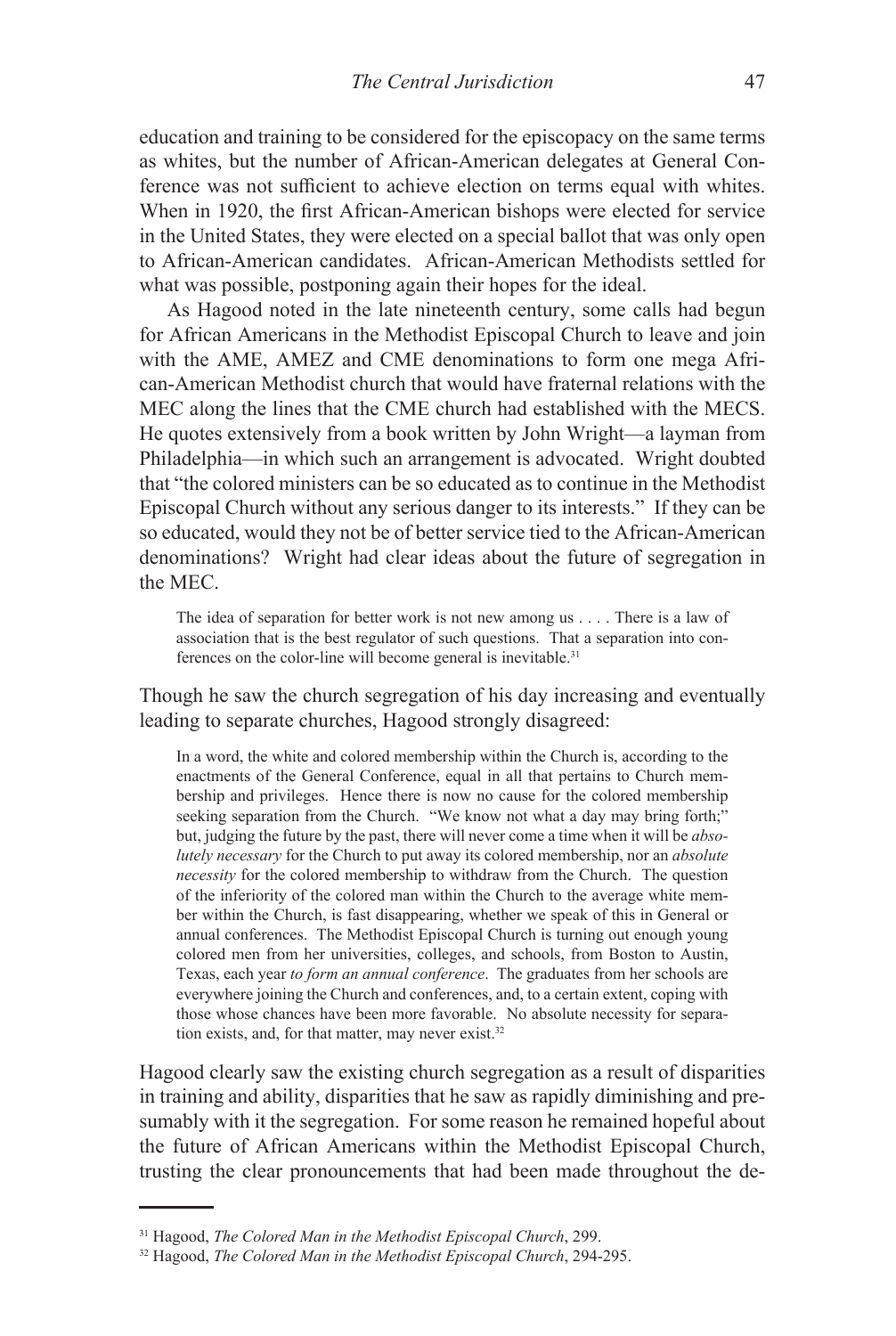education and training to be considered for the episcopacy on the same terms as whites, but the number of African-American delegates at General Conference was not sufficient to achieve election on terms equal with whites. When in 1920, the first African-American bishops were elected for service in the United States, they were elected on a special ballot that was only open to African-American candidates. African-American Methodists settled for what was possible, postponing again their hopes for the ideal.

As Hagood noted in the late nineteenth century, some calls had begun for African Americans in the Methodist Episcopal Church to leave and join with the AME, AMEZ and CME denominations to form one mega African-American Methodist church that would have fraternal relations with the MEC along the lines that the CME church had established with the MECS. He quotes extensively from a book written by John Wright—a layman from Philadelphia—in which such an arrangement is advocated. Wright doubted that "the colored ministers can be so educated as to continue in the Methodist Episcopal Church without any serious danger to its interests." If they can be so educated, would they not be of better service tied to the African-American denominations? Wright had clear ideas about the future of segregation in the MEC.

The idea of separation for better work is not new among us . . . . There is a law of association that is the best regulator of such questions. That a separation into conferences on the color-line will become general is inevitable.<sup>31</sup>

Though he saw the church segregation of his day increasing and eventually leading to separate churches, Hagood strongly disagreed:

In a word, the white and colored membership within the Church is, according to the enactments of the General Conference, equal in all that pertains to Church membership and privileges. Hence there is now no cause for the colored membership seeking separation from the Church. "We know not what a day may bring forth;" but, judging the future by the past, there will never come a time when it will be *absolutely necessary* for the Church to put away its colored membership, nor an *absolute necessity* for the colored membership to withdraw from the Church. The question of the inferiority of the colored man within the Church to the average white member within the Church, is fast disappearing, whether we speak of this in General or annual conferences. The Methodist Episcopal Church is turning out enough young colored men from her universities, colleges, and schools, from Boston to Austin, Texas, each year *to form an annual conference*. The graduates from her schools are everywhere joining the Church and conferences, and, to a certain extent, coping with those whose chances have been more favorable. No absolute necessity for separation exists, and, for that matter, may never exist.<sup>32</sup>

Hagood clearly saw the existing church segregation as a result of disparities in training and ability, disparities that he saw as rapidly diminishing and presumably with it the segregation. For some reason he remained hopeful about the future of African Americans within the Methodist Episcopal Church, trusting the clear pronouncements that had been made throughout the de-

<sup>31</sup> Hagood, *The Colored Man in the Methodist Episcopal Church*, 299.

<sup>32</sup> Hagood, *The Colored Man in the Methodist Episcopal Church*, 294-295.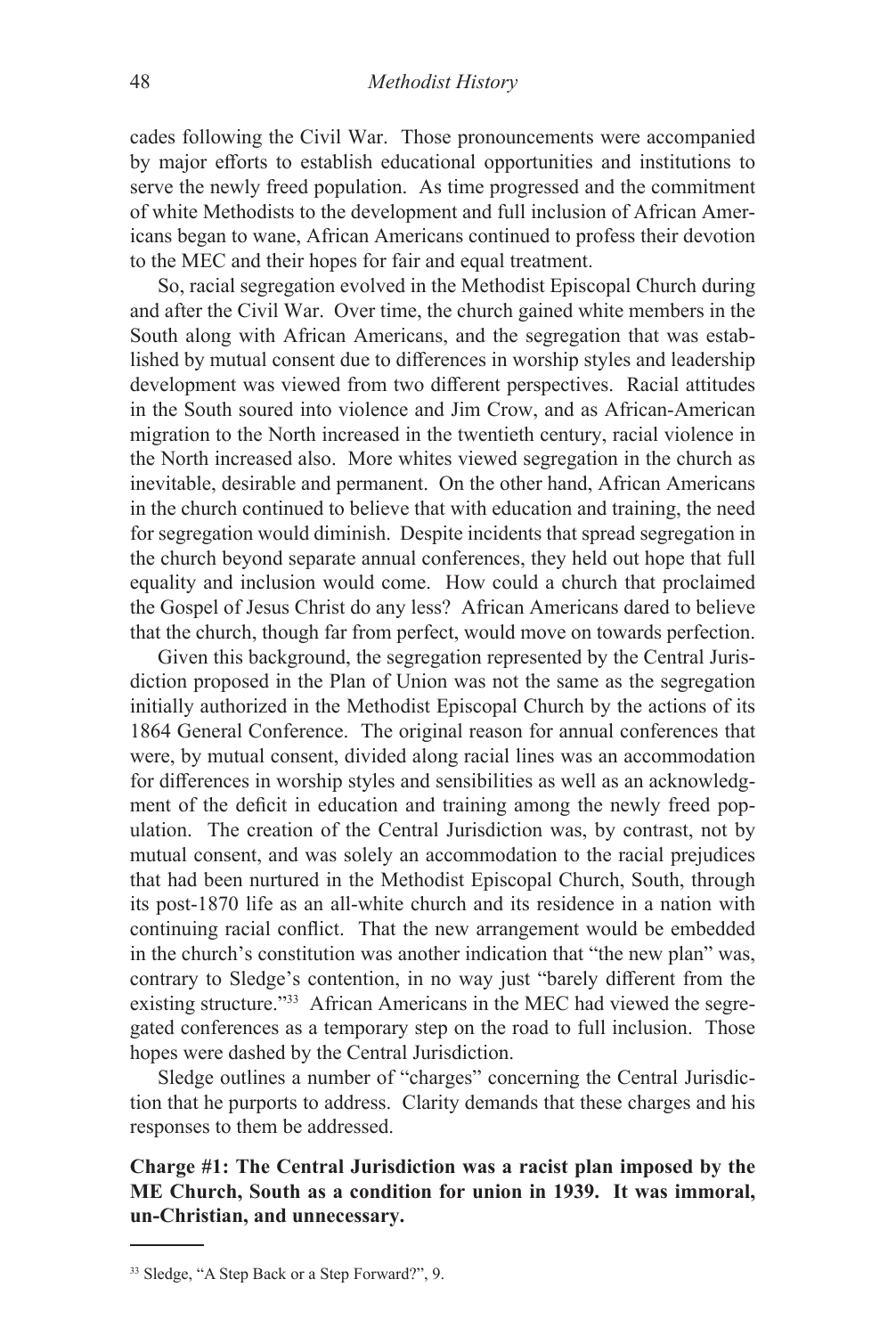cades following the Civil War. Those pronouncements were accompanied by major efforts to establish educational opportunities and institutions to serve the newly freed population. As time progressed and the commitment of white Methodists to the development and full inclusion of African Americans began to wane, African Americans continued to profess their devotion to the MEC and their hopes for fair and equal treatment.

So, racial segregation evolved in the Methodist Episcopal Church during and after the Civil War. Over time, the church gained white members in the South along with African Americans, and the segregation that was established by mutual consent due to differences in worship styles and leadership development was viewed from two different perspectives. Racial attitudes in the South soured into violence and Jim Crow, and as African-American migration to the North increased in the twentieth century, racial violence in the North increased also. More whites viewed segregation in the church as inevitable, desirable and permanent. On the other hand, African Americans in the church continued to believe that with education and training, the need for segregation would diminish. Despite incidents that spread segregation in the church beyond separate annual conferences, they held out hope that full equality and inclusion would come. How could a church that proclaimed the Gospel of Jesus Christ do any less? African Americans dared to believe that the church, though far from perfect, would move on towards perfection.

Given this background, the segregation represented by the Central Jurisdiction proposed in the Plan of Union was not the same as the segregation initially authorized in the Methodist Episcopal Church by the actions of its 1864 General Conference. The original reason for annual conferences that were, by mutual consent, divided along racial lines was an accommodation for differences in worship styles and sensibilities as well as an acknowledgment of the deficit in education and training among the newly freed population. The creation of the Central Jurisdiction was, by contrast, not by mutual consent, and was solely an accommodation to the racial prejudices that had been nurtured in the Methodist Episcopal Church, South, through its post-1870 life as an all-white church and its residence in a nation with continuing racial conflict. That the new arrangement would be embedded in the church's constitution was another indication that "the new plan" was, contrary to Sledge's contention, in no way just "barely different from the existing structure."33 African Americans in the MEC had viewed the segregated conferences as a temporary step on the road to full inclusion. Those hopes were dashed by the Central Jurisdiction.

Sledge outlines a number of "charges" concerning the Central Jurisdiction that he purports to address. Clarity demands that these charges and his responses to them be addressed.

**Charge #1: The Central Jurisdiction was a racist plan imposed by the ME Church, South as a condition for union in 1939. It was immoral, un-Christian, and unnecessary.**

<sup>33</sup> Sledge, "A Step Back or a Step Forward?", 9.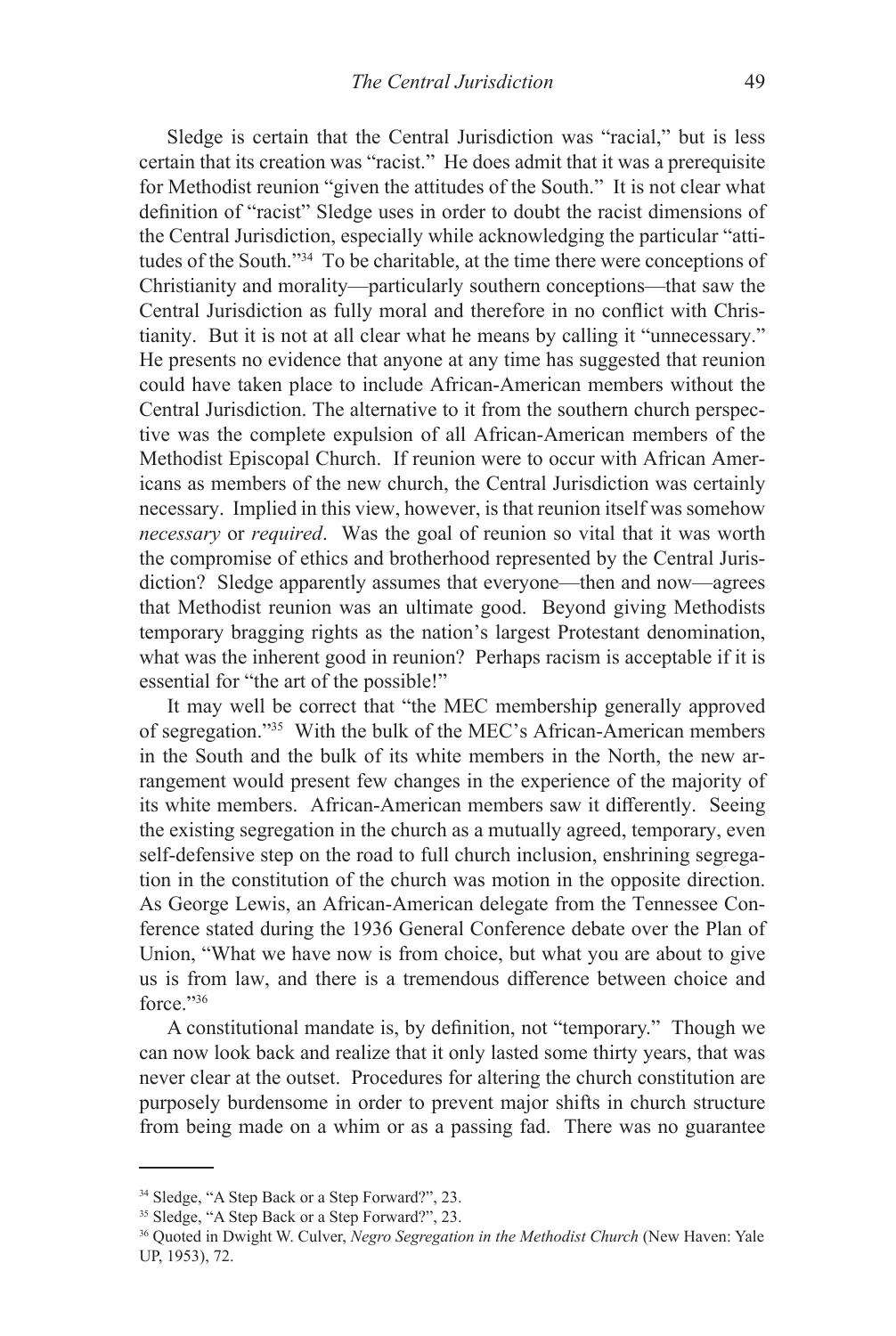Sledge is certain that the Central Jurisdiction was "racial," but is less certain that its creation was "racist." He does admit that it was a prerequisite for Methodist reunion "given the attitudes of the South." It is not clear what definition of "racist" Sledge uses in order to doubt the racist dimensions of the Central Jurisdiction, especially while acknowledging the particular "attitudes of the South."34 To be charitable, at the time there were conceptions of Christianity and morality—particularly southern conceptions—that saw the Central Jurisdiction as fully moral and therefore in no conflict with Christianity. But it is not at all clear what he means by calling it "unnecessary." He presents no evidence that anyone at any time has suggested that reunion could have taken place to include African-American members without the Central Jurisdiction. The alternative to it from the southern church perspective was the complete expulsion of all African-American members of the Methodist Episcopal Church. If reunion were to occur with African Americans as members of the new church, the Central Jurisdiction was certainly necessary. Implied in this view, however, is that reunion itself was somehow *necessary* or *required*. Was the goal of reunion so vital that it was worth the compromise of ethics and brotherhood represented by the Central Jurisdiction? Sledge apparently assumes that everyone—then and now—agrees that Methodist reunion was an ultimate good. Beyond giving Methodists temporary bragging rights as the nation's largest Protestant denomination, what was the inherent good in reunion? Perhaps racism is acceptable if it is essential for "the art of the possible!"

It may well be correct that "the MEC membership generally approved of segregation."35 With the bulk of the MEC's African-American members in the South and the bulk of its white members in the North, the new arrangement would present few changes in the experience of the majority of its white members. African-American members saw it differently. Seeing the existing segregation in the church as a mutually agreed, temporary, even self-defensive step on the road to full church inclusion, enshrining segregation in the constitution of the church was motion in the opposite direction. As George Lewis, an African-American delegate from the Tennessee Conference stated during the 1936 General Conference debate over the Plan of Union, "What we have now is from choice, but what you are about to give us is from law, and there is a tremendous difference between choice and force."36

A constitutional mandate is, by definition, not "temporary." Though we can now look back and realize that it only lasted some thirty years, that was never clear at the outset. Procedures for altering the church constitution are purposely burdensome in order to prevent major shifts in church structure from being made on a whim or as a passing fad. There was no guarantee

<sup>34</sup> Sledge, "A Step Back or a Step Forward?", 23.

<sup>&</sup>lt;sup>35</sup> Sledge, "A Step Back or a Step Forward?", 23.

<sup>36</sup> Quoted in Dwight W. Culver, *Negro Segregation in the Methodist Church* (New Haven: Yale UP, 1953), 72.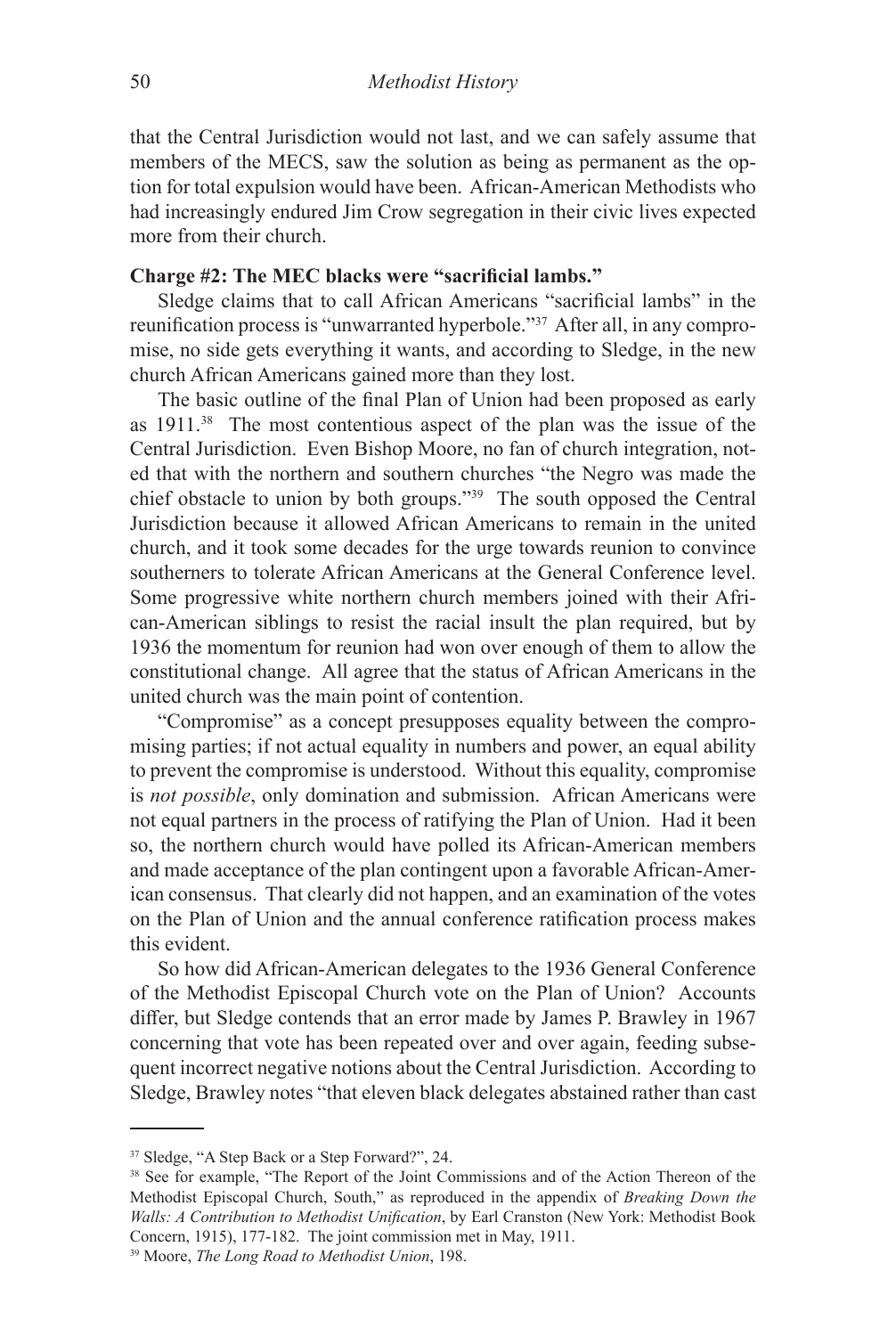that the Central Jurisdiction would not last, and we can safely assume that members of the MECS, saw the solution as being as permanent as the option for total expulsion would have been. African-American Methodists who had increasingly endured Jim Crow segregation in their civic lives expected more from their church.

### **Charge #2: The MEC blacks were "sacrificial lambs."**

Sledge claims that to call African Americans "sacrificial lambs" in the reunification process is "unwarranted hyperbole."37 After all, in any compromise, no side gets everything it wants, and according to Sledge, in the new church African Americans gained more than they lost.

The basic outline of the final Plan of Union had been proposed as early as 1911.38 The most contentious aspect of the plan was the issue of the Central Jurisdiction. Even Bishop Moore, no fan of church integration, noted that with the northern and southern churches "the Negro was made the chief obstacle to union by both groups."39 The south opposed the Central Jurisdiction because it allowed African Americans to remain in the united church, and it took some decades for the urge towards reunion to convince southerners to tolerate African Americans at the General Conference level. Some progressive white northern church members joined with their African-American siblings to resist the racial insult the plan required, but by 1936 the momentum for reunion had won over enough of them to allow the constitutional change. All agree that the status of African Americans in the united church was the main point of contention.

"Compromise" as a concept presupposes equality between the compromising parties; if not actual equality in numbers and power, an equal ability to prevent the compromise is understood. Without this equality, compromise is *not possible*, only domination and submission. African Americans were not equal partners in the process of ratifying the Plan of Union. Had it been so, the northern church would have polled its African-American members and made acceptance of the plan contingent upon a favorable African-American consensus. That clearly did not happen, and an examination of the votes on the Plan of Union and the annual conference ratification process makes this evident.

So how did African-American delegates to the 1936 General Conference of the Methodist Episcopal Church vote on the Plan of Union? Accounts differ, but Sledge contends that an error made by James P. Brawley in 1967 concerning that vote has been repeated over and over again, feeding subsequent incorrect negative notions about the Central Jurisdiction. According to Sledge, Brawley notes "that eleven black delegates abstained rather than cast

<sup>37</sup> Sledge, "A Step Back or a Step Forward?", 24.

<sup>&</sup>lt;sup>38</sup> See for example, "The Report of the Joint Commissions and of the Action Thereon of the Methodist Episcopal Church, South," as reproduced in the appendix of *Breaking Down the Walls: A Contribution to Methodist Unification*, by Earl Cranston (New York: Methodist Book Concern, 1915), 177-182. The joint commission met in May, 1911.

<sup>39</sup> Moore, *The Long Road to Methodist Union*, 198.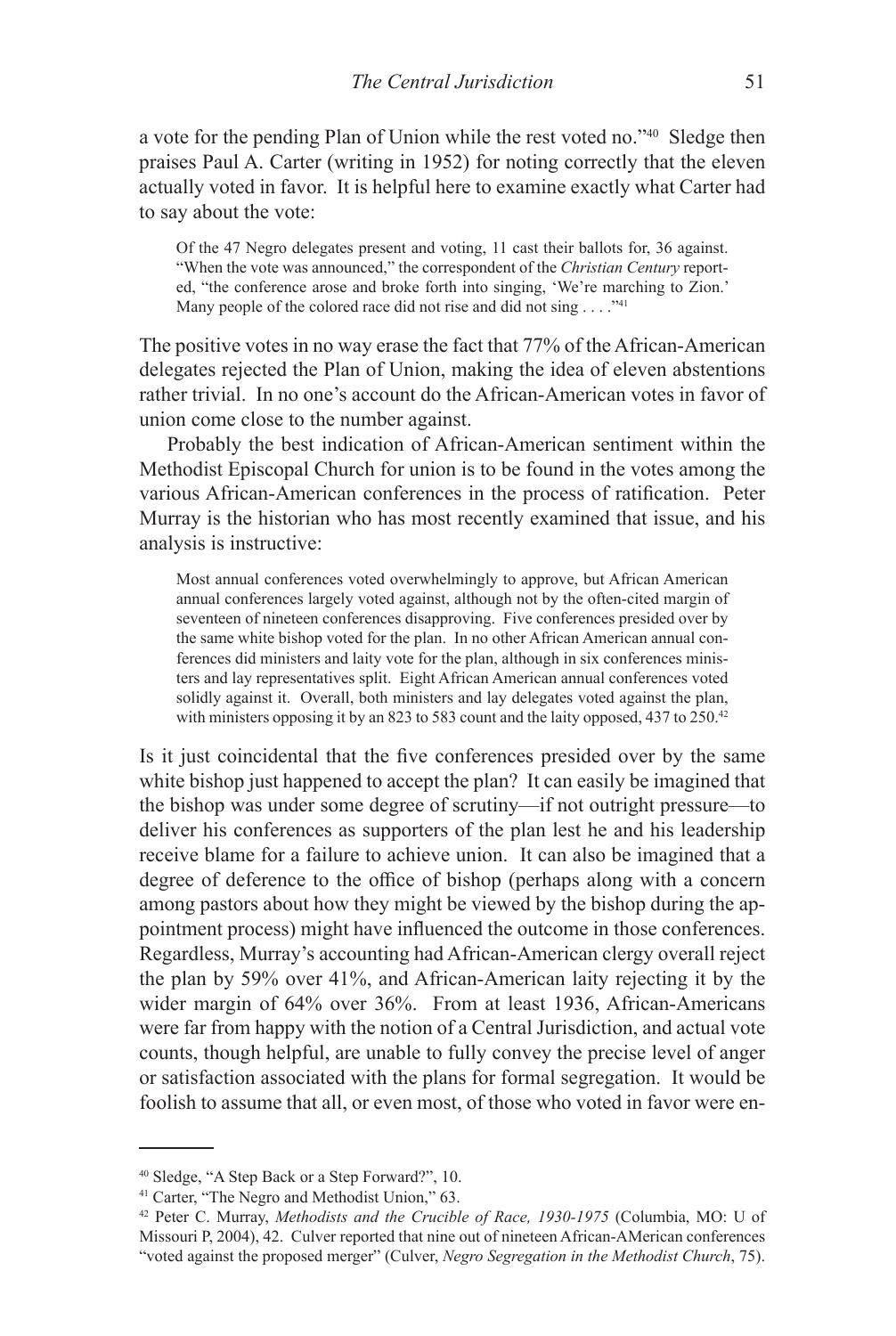a vote for the pending Plan of Union while the rest voted no."40 Sledge then praises Paul A. Carter (writing in 1952) for noting correctly that the eleven actually voted in favor. It is helpful here to examine exactly what Carter had to say about the vote:

Of the 47 Negro delegates present and voting, 11 cast their ballots for, 36 against. "When the vote was announced," the correspondent of the *Christian Century* reported, "the conference arose and broke forth into singing, 'We're marching to Zion.' Many people of the colored race did not rise and did not sing  $\dots$ ."<sup>41</sup>

The positive votes in no way erase the fact that 77% of the African-American delegates rejected the Plan of Union, making the idea of eleven abstentions rather trivial. In no one's account do the African-American votes in favor of union come close to the number against.

Probably the best indication of African-American sentiment within the Methodist Episcopal Church for union is to be found in the votes among the various African-American conferences in the process of ratification. Peter Murray is the historian who has most recently examined that issue, and his analysis is instructive:

Most annual conferences voted overwhelmingly to approve, but African American annual conferences largely voted against, although not by the often-cited margin of seventeen of nineteen conferences disapproving. Five conferences presided over by the same white bishop voted for the plan. In no other African American annual conferences did ministers and laity vote for the plan, although in six conferences ministers and lay representatives split. Eight African American annual conferences voted solidly against it. Overall, both ministers and lay delegates voted against the plan, with ministers opposing it by an 823 to 583 count and the laity opposed, 437 to 250.42

Is it just coincidental that the five conferences presided over by the same white bishop just happened to accept the plan? It can easily be imagined that the bishop was under some degree of scrutiny—if not outright pressure—to deliver his conferences as supporters of the plan lest he and his leadership receive blame for a failure to achieve union. It can also be imagined that a degree of deference to the office of bishop (perhaps along with a concern among pastors about how they might be viewed by the bishop during the appointment process) might have influenced the outcome in those conferences. Regardless, Murray's accounting had African-American clergy overall reject the plan by 59% over 41%, and African-American laity rejecting it by the wider margin of 64% over 36%. From at least 1936, African-Americans were far from happy with the notion of a Central Jurisdiction, and actual vote counts, though helpful, are unable to fully convey the precise level of anger or satisfaction associated with the plans for formal segregation. It would be foolish to assume that all, or even most, of those who voted in favor were en-

<sup>40</sup> Sledge, "A Step Back or a Step Forward?", 10.

<sup>&</sup>lt;sup>41</sup> Carter, "The Negro and Methodist Union," 63.

<sup>42</sup> Peter C. Murray, *Methodists and the Crucible of Race, 1930-1975* (Columbia, MO: U of Missouri P, 2004), 42. Culver reported that nine out of nineteen African-AMerican conferences "voted against the proposed merger" (Culver, *Negro Segregation in the Methodist Church*, 75).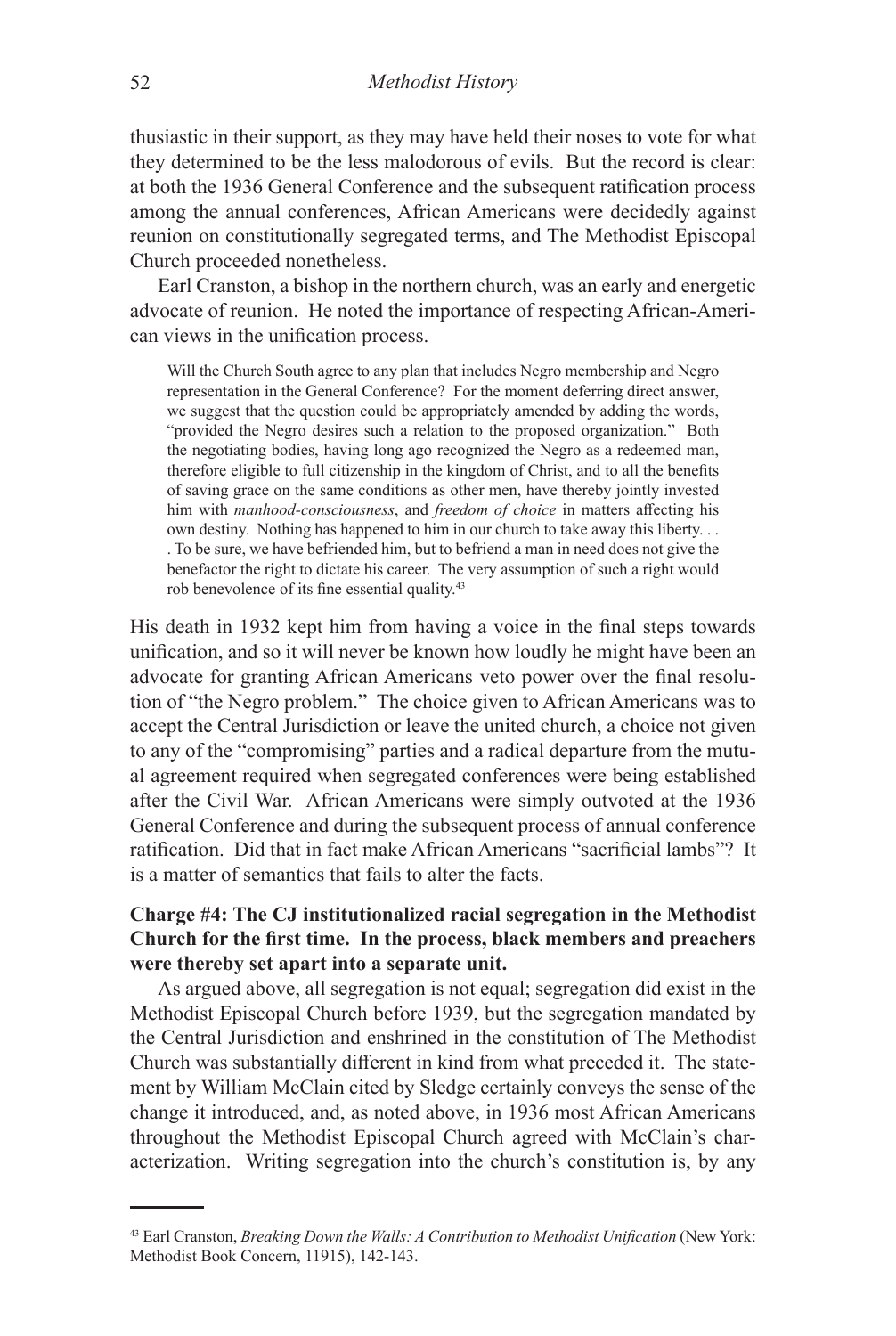thusiastic in their support, as they may have held their noses to vote for what they determined to be the less malodorous of evils. But the record is clear: at both the 1936 General Conference and the subsequent ratification process among the annual conferences, African Americans were decidedly against reunion on constitutionally segregated terms, and The Methodist Episcopal Church proceeded nonetheless.

Earl Cranston, a bishop in the northern church, was an early and energetic advocate of reunion. He noted the importance of respecting African-American views in the unification process.

Will the Church South agree to any plan that includes Negro membership and Negro representation in the General Conference? For the moment deferring direct answer, we suggest that the question could be appropriately amended by adding the words, "provided the Negro desires such a relation to the proposed organization." Both the negotiating bodies, having long ago recognized the Negro as a redeemed man, therefore eligible to full citizenship in the kingdom of Christ, and to all the benefits of saving grace on the same conditions as other men, have thereby jointly invested him with *manhood-consciousness*, and *freedom of choice* in matters affecting his own destiny. Nothing has happened to him in our church to take away this liberty. . . . To be sure, we have befriended him, but to befriend a man in need does not give the benefactor the right to dictate his career. The very assumption of such a right would rob benevolence of its fine essential quality.43

His death in 1932 kept him from having a voice in the final steps towards unification, and so it will never be known how loudly he might have been an advocate for granting African Americans veto power over the final resolution of "the Negro problem." The choice given to African Americans was to accept the Central Jurisdiction or leave the united church, a choice not given to any of the "compromising" parties and a radical departure from the mutual agreement required when segregated conferences were being established after the Civil War. African Americans were simply outvoted at the 1936 General Conference and during the subsequent process of annual conference ratification. Did that in fact make African Americans "sacrificial lambs"? It is a matter of semantics that fails to alter the facts.

# **Charge #4: The CJ institutionalized racial segregation in the Methodist Church for the first time. In the process, black members and preachers were thereby set apart into a separate unit.**

As argued above, all segregation is not equal; segregation did exist in the Methodist Episcopal Church before 1939, but the segregation mandated by the Central Jurisdiction and enshrined in the constitution of The Methodist Church was substantially different in kind from what preceded it. The statement by William McClain cited by Sledge certainly conveys the sense of the change it introduced, and, as noted above, in 1936 most African Americans throughout the Methodist Episcopal Church agreed with McClain's characterization. Writing segregation into the church's constitution is, by any

<sup>43</sup> Earl Cranston, *Breaking Down the Walls: A Contribution to Methodist Unification* (New York: Methodist Book Concern, 11915), 142-143.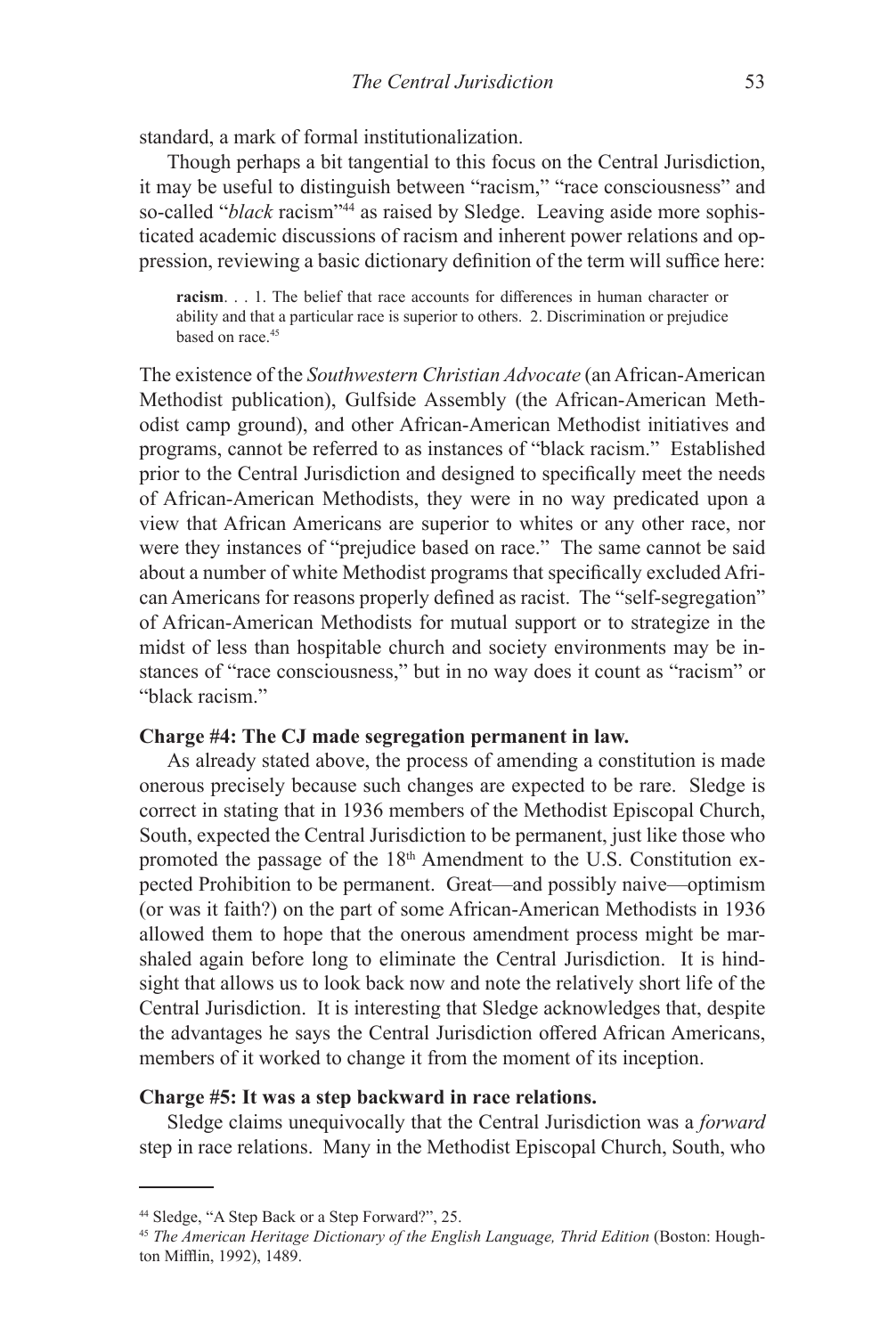standard, a mark of formal institutionalization.

Though perhaps a bit tangential to this focus on the Central Jurisdiction, it may be useful to distinguish between "racism," "race consciousness" and so-called "*black* racism"<sup>44</sup> as raised by Sledge. Leaving aside more sophisticated academic discussions of racism and inherent power relations and oppression, reviewing a basic dictionary definition of the term will suffice here:

**racism**. . . 1. The belief that race accounts for differences in human character or ability and that a particular race is superior to others. 2. Discrimination or prejudice based on race.<sup>45</sup>

The existence of the *Southwestern Christian Advocate* (an African-American Methodist publication), Gulfside Assembly (the African-American Methodist camp ground), and other African-American Methodist initiatives and programs, cannot be referred to as instances of "black racism." Established prior to the Central Jurisdiction and designed to specifically meet the needs of African-American Methodists, they were in no way predicated upon a view that African Americans are superior to whites or any other race, nor were they instances of "prejudice based on race." The same cannot be said about a number of white Methodist programs that specifically excluded African Americans for reasons properly defined as racist. The "self-segregation" of African-American Methodists for mutual support or to strategize in the midst of less than hospitable church and society environments may be instances of "race consciousness," but in no way does it count as "racism" or "black racism."

### **Charge #4: The CJ made segregation permanent in law.**

As already stated above, the process of amending a constitution is made onerous precisely because such changes are expected to be rare. Sledge is correct in stating that in 1936 members of the Methodist Episcopal Church, South, expected the Central Jurisdiction to be permanent, just like those who promoted the passage of the 18<sup>th</sup> Amendment to the U.S. Constitution expected Prohibition to be permanent. Great—and possibly naive—optimism (or was it faith?) on the part of some African-American Methodists in 1936 allowed them to hope that the onerous amendment process might be marshaled again before long to eliminate the Central Jurisdiction. It is hindsight that allows us to look back now and note the relatively short life of the Central Jurisdiction. It is interesting that Sledge acknowledges that, despite the advantages he says the Central Jurisdiction offered African Americans, members of it worked to change it from the moment of its inception.

### **Charge #5: It was a step backward in race relations.**

Sledge claims unequivocally that the Central Jurisdiction was a *forward*  step in race relations. Many in the Methodist Episcopal Church, South, who

<sup>44</sup> Sledge, "A Step Back or a Step Forward?", 25.

<sup>45</sup> *The American Heritage Dictionary of the English Language, Thrid Edition* (Boston: Houghton Mifflin, 1992), 1489.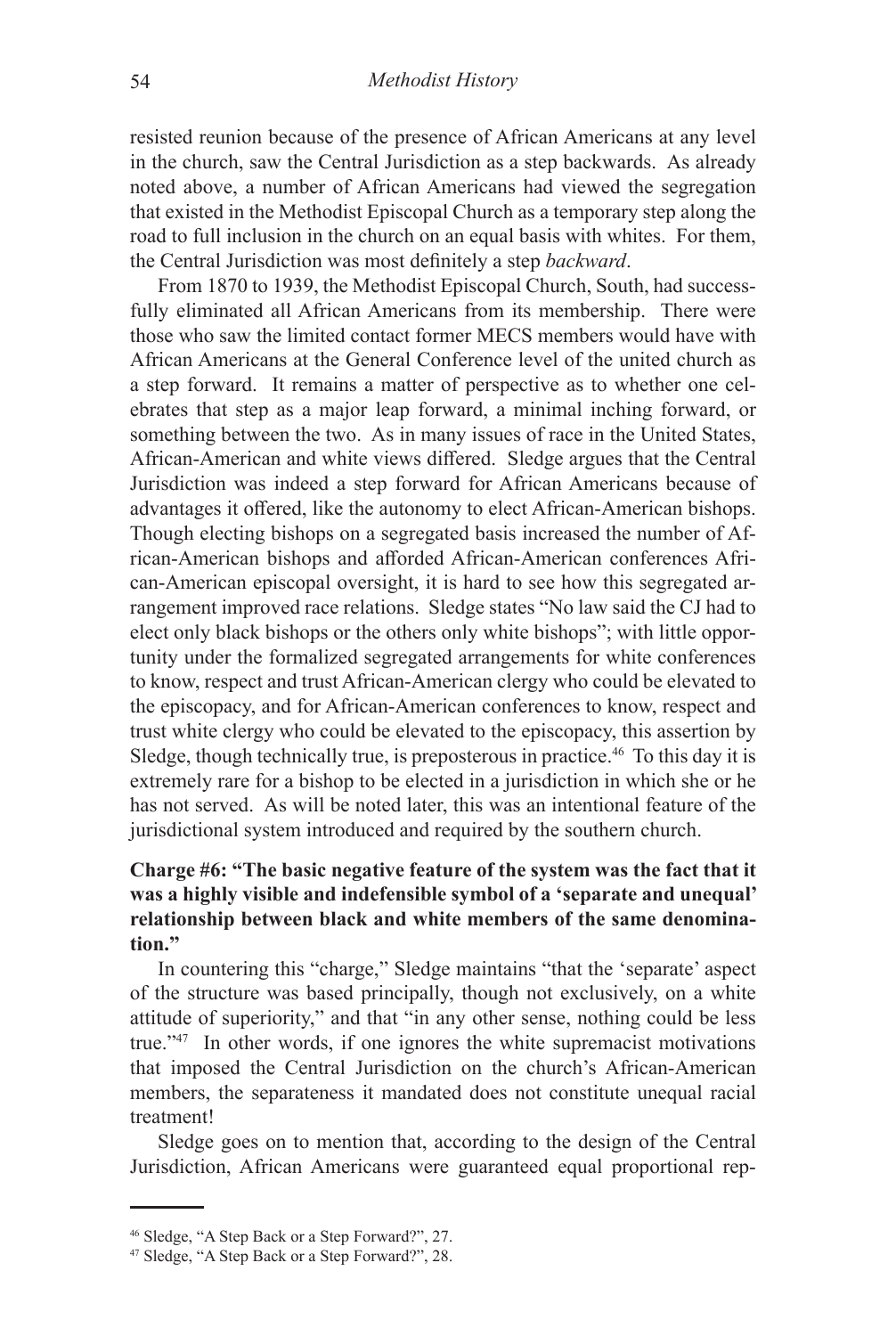resisted reunion because of the presence of African Americans at any level in the church, saw the Central Jurisdiction as a step backwards. As already noted above, a number of African Americans had viewed the segregation that existed in the Methodist Episcopal Church as a temporary step along the road to full inclusion in the church on an equal basis with whites. For them, the Central Jurisdiction was most definitely a step *backward*.

From 1870 to 1939, the Methodist Episcopal Church, South, had successfully eliminated all African Americans from its membership. There were those who saw the limited contact former MECS members would have with African Americans at the General Conference level of the united church as a step forward. It remains a matter of perspective as to whether one celebrates that step as a major leap forward, a minimal inching forward, or something between the two. As in many issues of race in the United States, African-American and white views differed. Sledge argues that the Central Jurisdiction was indeed a step forward for African Americans because of advantages it offered, like the autonomy to elect African-American bishops. Though electing bishops on a segregated basis increased the number of African-American bishops and afforded African-American conferences African-American episcopal oversight, it is hard to see how this segregated arrangement improved race relations. Sledge states "No law said the CJ had to elect only black bishops or the others only white bishops"; with little opportunity under the formalized segregated arrangements for white conferences to know, respect and trust African-American clergy who could be elevated to the episcopacy, and for African-American conferences to know, respect and trust white clergy who could be elevated to the episcopacy, this assertion by Sledge, though technically true, is preposterous in practice.<sup>46</sup> To this day it is extremely rare for a bishop to be elected in a jurisdiction in which she or he has not served. As will be noted later, this was an intentional feature of the jurisdictional system introduced and required by the southern church.

# **Charge #6: "The basic negative feature of the system was the fact that it was a highly visible and indefensible symbol of a 'separate and unequal' relationship between black and white members of the same denomination."**

In countering this "charge," Sledge maintains "that the 'separate' aspect of the structure was based principally, though not exclusively, on a white attitude of superiority," and that "in any other sense, nothing could be less true."47 In other words, if one ignores the white supremacist motivations that imposed the Central Jurisdiction on the church's African-American members, the separateness it mandated does not constitute unequal racial treatment!

Sledge goes on to mention that, according to the design of the Central Jurisdiction, African Americans were guaranteed equal proportional rep-

<sup>46</sup> Sledge, "A Step Back or a Step Forward?", 27.

<sup>47</sup> Sledge, "A Step Back or a Step Forward?", 28.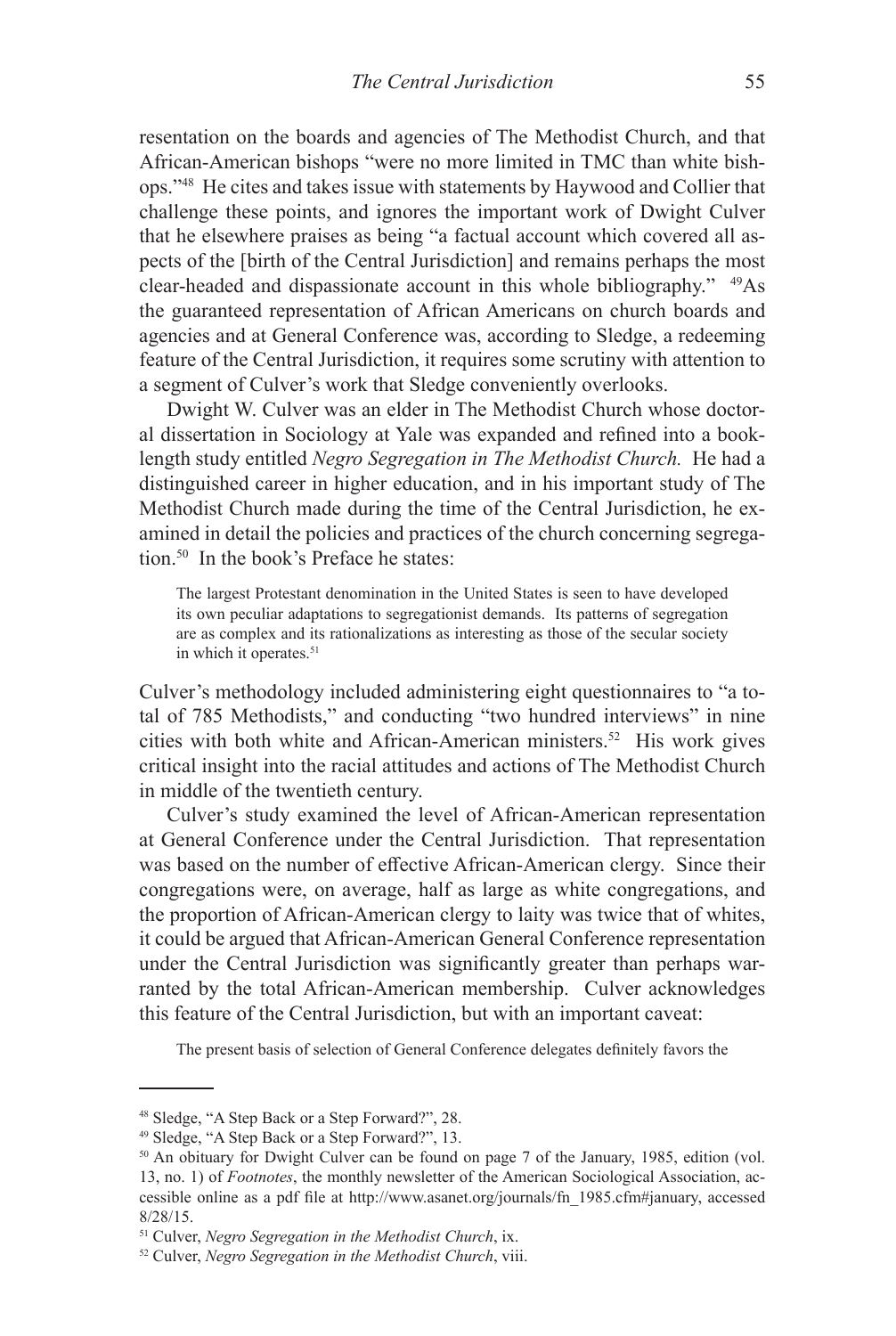resentation on the boards and agencies of The Methodist Church, and that African-American bishops "were no more limited in TMC than white bishops."48 He cites and takes issue with statements by Haywood and Collier that challenge these points, and ignores the important work of Dwight Culver that he elsewhere praises as being "a factual account which covered all aspects of the [birth of the Central Jurisdiction] and remains perhaps the most clear-headed and dispassionate account in this whole bibliography." 49As the guaranteed representation of African Americans on church boards and agencies and at General Conference was, according to Sledge, a redeeming feature of the Central Jurisdiction, it requires some scrutiny with attention to a segment of Culver's work that Sledge conveniently overlooks.

Dwight W. Culver was an elder in The Methodist Church whose doctoral dissertation in Sociology at Yale was expanded and refined into a booklength study entitled *Negro Segregation in The Methodist Church.* He had a distinguished career in higher education, and in his important study of The Methodist Church made during the time of the Central Jurisdiction, he examined in detail the policies and practices of the church concerning segregation.<sup>50</sup> In the book's Preface he states:

The largest Protestant denomination in the United States is seen to have developed its own peculiar adaptations to segregationist demands. Its patterns of segregation are as complex and its rationalizations as interesting as those of the secular society in which it operates.<sup>51</sup>

Culver's methodology included administering eight questionnaires to "a total of 785 Methodists," and conducting "two hundred interviews" in nine cities with both white and African-American ministers.<sup>52</sup> His work gives critical insight into the racial attitudes and actions of The Methodist Church in middle of the twentieth century.

Culver's study examined the level of African-American representation at General Conference under the Central Jurisdiction. That representation was based on the number of effective African-American clergy. Since their congregations were, on average, half as large as white congregations, and the proportion of African-American clergy to laity was twice that of whites, it could be argued that African-American General Conference representation under the Central Jurisdiction was significantly greater than perhaps warranted by the total African-American membership. Culver acknowledges this feature of the Central Jurisdiction, but with an important caveat:

The present basis of selection of General Conference delegates definitely favors the

<sup>48</sup> Sledge, "A Step Back or a Step Forward?", 28.

<sup>49</sup> Sledge, "A Step Back or a Step Forward?", 13.

<sup>&</sup>lt;sup>50</sup> An obituary for Dwight Culver can be found on page 7 of the January, 1985, edition (vol. 13, no. 1) of *Footnotes*, the monthly newsletter of the American Sociological Association, accessible online as a pdf file at http://www.asanet.org/journals/fn\_1985.cfm#january, accessed 8/28/15.

<sup>51</sup> Culver, *Negro Segregation in the Methodist Church*, ix.

<sup>52</sup> Culver, *Negro Segregation in the Methodist Church*, viii.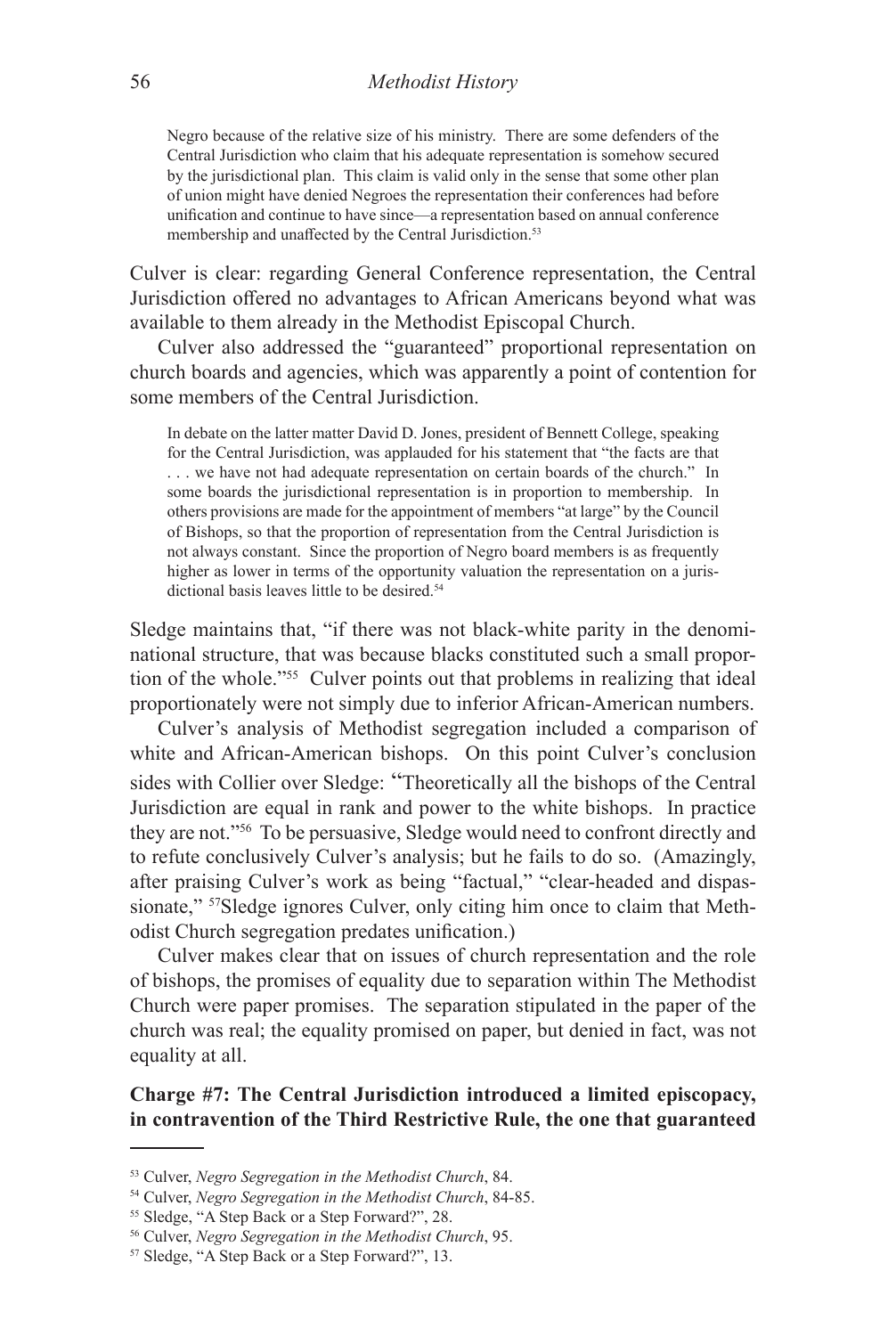Negro because of the relative size of his ministry. There are some defenders of the Central Jurisdiction who claim that his adequate representation is somehow secured by the jurisdictional plan. This claim is valid only in the sense that some other plan of union might have denied Negroes the representation their conferences had before unification and continue to have since—a representation based on annual conference membership and unaffected by the Central Jurisdiction.<sup>53</sup>

Culver is clear: regarding General Conference representation, the Central Jurisdiction offered no advantages to African Americans beyond what was available to them already in the Methodist Episcopal Church.

Culver also addressed the "guaranteed" proportional representation on church boards and agencies, which was apparently a point of contention for some members of the Central Jurisdiction.

In debate on the latter matter David D. Jones, president of Bennett College, speaking for the Central Jurisdiction, was applauded for his statement that "the facts are that . . . we have not had adequate representation on certain boards of the church." In some boards the jurisdictional representation is in proportion to membership. In others provisions are made for the appointment of members "at large" by the Council of Bishops, so that the proportion of representation from the Central Jurisdiction is not always constant. Since the proportion of Negro board members is as frequently higher as lower in terms of the opportunity valuation the representation on a jurisdictional basis leaves little to be desired.<sup>54</sup>

Sledge maintains that, "if there was not black-white parity in the denominational structure, that was because blacks constituted such a small proportion of the whole."<sup>55</sup> Culver points out that problems in realizing that ideal proportionately were not simply due to inferior African-American numbers.

Culver's analysis of Methodist segregation included a comparison of white and African-American bishops. On this point Culver's conclusion sides with Collier over Sledge: "Theoretically all the bishops of the Central Jurisdiction are equal in rank and power to the white bishops. In practice they are not."56 To be persuasive, Sledge would need to confront directly and to refute conclusively Culver's analysis; but he fails to do so. (Amazingly, after praising Culver's work as being "factual," "clear-headed and dispassionate," <sup>57</sup>Sledge ignores Culver, only citing him once to claim that Methodist Church segregation predates unification.)

Culver makes clear that on issues of church representation and the role of bishops, the promises of equality due to separation within The Methodist Church were paper promises. The separation stipulated in the paper of the church was real; the equality promised on paper, but denied in fact, was not equality at all.

# **Charge #7: The Central Jurisdiction introduced a limited episcopacy, in contravention of the Third Restrictive Rule, the one that guaranteed**

<sup>53</sup> Culver, *Negro Segregation in the Methodist Church*, 84.

<sup>54</sup> Culver, *Negro Segregation in the Methodist Church*, 84-85.

<sup>55</sup> Sledge, "A Step Back or a Step Forward?", 28.

<sup>56</sup> Culver, *Negro Segregation in the Methodist Church*, 95.

<sup>57</sup> Sledge, "A Step Back or a Step Forward?", 13.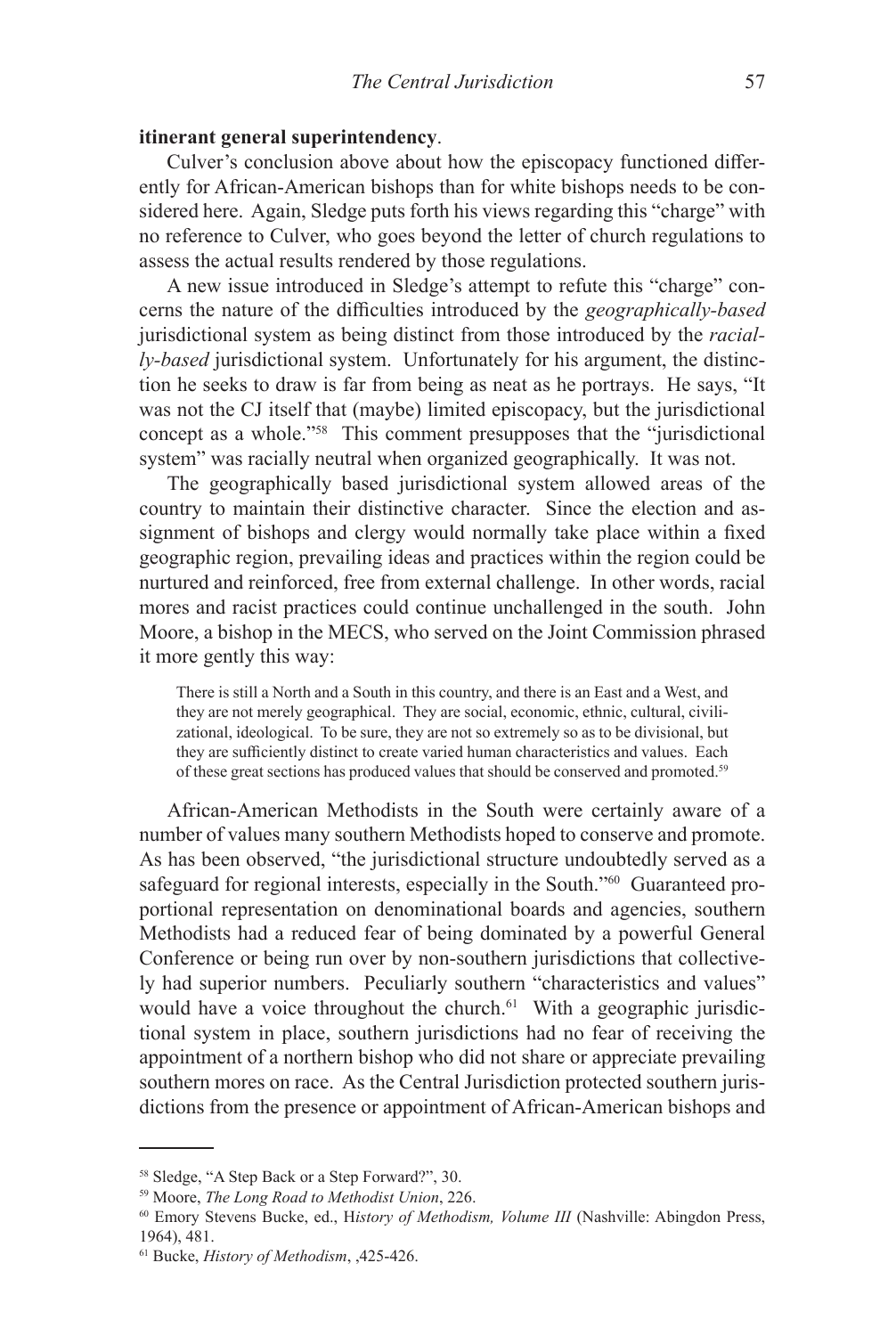## **itinerant general superintendency**.

Culver's conclusion above about how the episcopacy functioned differently for African-American bishops than for white bishops needs to be considered here. Again, Sledge puts forth his views regarding this "charge" with no reference to Culver, who goes beyond the letter of church regulations to assess the actual results rendered by those regulations.

A new issue introduced in Sledge's attempt to refute this "charge" concerns the nature of the difficulties introduced by the *geographically-based*  jurisdictional system as being distinct from those introduced by the *racially-based* jurisdictional system. Unfortunately for his argument, the distinction he seeks to draw is far from being as neat as he portrays. He says, "It was not the CJ itself that (maybe) limited episcopacy, but the jurisdictional concept as a whole."58 This comment presupposes that the "jurisdictional system" was racially neutral when organized geographically. It was not.

The geographically based jurisdictional system allowed areas of the country to maintain their distinctive character. Since the election and assignment of bishops and clergy would normally take place within a fixed geographic region, prevailing ideas and practices within the region could be nurtured and reinforced, free from external challenge. In other words, racial mores and racist practices could continue unchallenged in the south. John Moore, a bishop in the MECS, who served on the Joint Commission phrased it more gently this way:

There is still a North and a South in this country, and there is an East and a West, and they are not merely geographical. They are social, economic, ethnic, cultural, civilizational, ideological. To be sure, they are not so extremely so as to be divisional, but they are sufficiently distinct to create varied human characteristics and values. Each of these great sections has produced values that should be conserved and promoted.<sup>59</sup>

African-American Methodists in the South were certainly aware of a number of values many southern Methodists hoped to conserve and promote. As has been observed, "the jurisdictional structure undoubtedly served as a safeguard for regional interests, especially in the South."<sup>60</sup> Guaranteed proportional representation on denominational boards and agencies, southern Methodists had a reduced fear of being dominated by a powerful General Conference or being run over by non-southern jurisdictions that collectively had superior numbers. Peculiarly southern "characteristics and values" would have a voice throughout the church.<sup>61</sup> With a geographic jurisdictional system in place, southern jurisdictions had no fear of receiving the appointment of a northern bishop who did not share or appreciate prevailing southern mores on race. As the Central Jurisdiction protected southern jurisdictions from the presence or appointment of African-American bishops and

<sup>58</sup> Sledge, "A Step Back or a Step Forward?", 30.

<sup>59</sup> Moore, *The Long Road to Methodist Union*, 226.

<sup>60</sup> Emory Stevens Bucke, ed., H*istory of Methodism, Volume III* (Nashville: Abingdon Press, 1964), 481.

<sup>61</sup> Bucke, *History of Methodism*, ,425-426.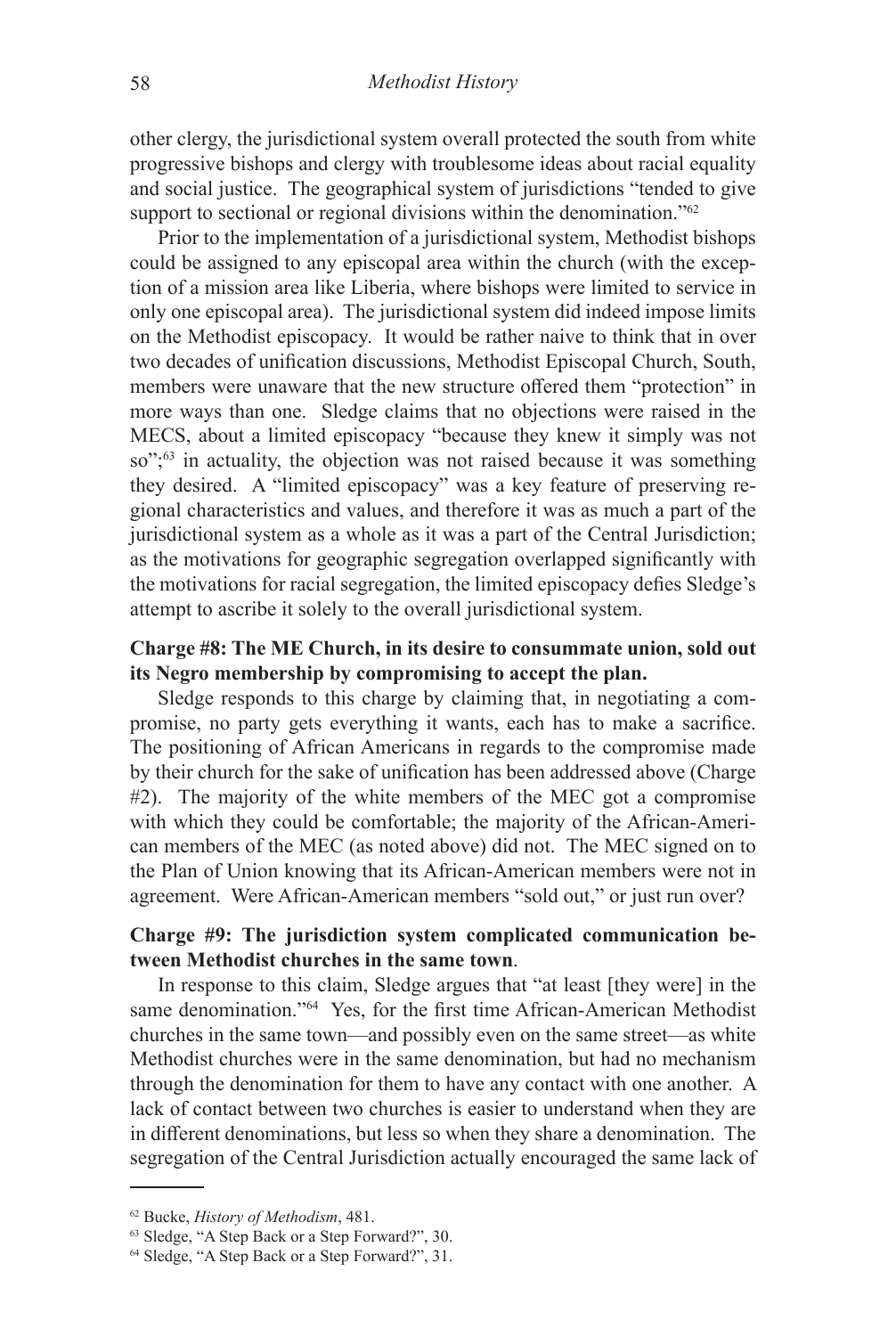other clergy, the jurisdictional system overall protected the south from white progressive bishops and clergy with troublesome ideas about racial equality and social justice. The geographical system of jurisdictions "tended to give support to sectional or regional divisions within the denomination."<sup>62</sup>

Prior to the implementation of a jurisdictional system, Methodist bishops could be assigned to any episcopal area within the church (with the exception of a mission area like Liberia, where bishops were limited to service in only one episcopal area). The jurisdictional system did indeed impose limits on the Methodist episcopacy. It would be rather naive to think that in over two decades of unification discussions, Methodist Episcopal Church, South, members were unaware that the new structure offered them "protection" in more ways than one. Sledge claims that no objections were raised in the MECS, about a limited episcopacy "because they knew it simply was not so";<sup>63</sup> in actuality, the objection was not raised because it was something they desired. A "limited episcopacy" was a key feature of preserving regional characteristics and values, and therefore it was as much a part of the jurisdictional system as a whole as it was a part of the Central Jurisdiction; as the motivations for geographic segregation overlapped significantly with the motivations for racial segregation, the limited episcopacy defies Sledge's attempt to ascribe it solely to the overall jurisdictional system.

# **Charge #8: The ME Church, in its desire to consummate union, sold out its Negro membership by compromising to accept the plan.**

Sledge responds to this charge by claiming that, in negotiating a compromise, no party gets everything it wants, each has to make a sacrifice. The positioning of African Americans in regards to the compromise made by their church for the sake of unification has been addressed above (Charge #2). The majority of the white members of the MEC got a compromise with which they could be comfortable; the majority of the African-American members of the MEC (as noted above) did not. The MEC signed on to the Plan of Union knowing that its African-American members were not in agreement. Were African-American members "sold out," or just run over?

# **Charge #9: The jurisdiction system complicated communication between Methodist churches in the same town**.

In response to this claim, Sledge argues that "at least [they were] in the same denomination."<sup>64</sup> Yes, for the first time African-American Methodist churches in the same town—and possibly even on the same street—as white Methodist churches were in the same denomination, but had no mechanism through the denomination for them to have any contact with one another. A lack of contact between two churches is easier to understand when they are in different denominations, but less so when they share a denomination. The segregation of the Central Jurisdiction actually encouraged the same lack of

<sup>62</sup> Bucke, *History of Methodism*, 481.

<sup>63</sup> Sledge, "A Step Back or a Step Forward?", 30.

<sup>64</sup> Sledge, "A Step Back or a Step Forward?", 31.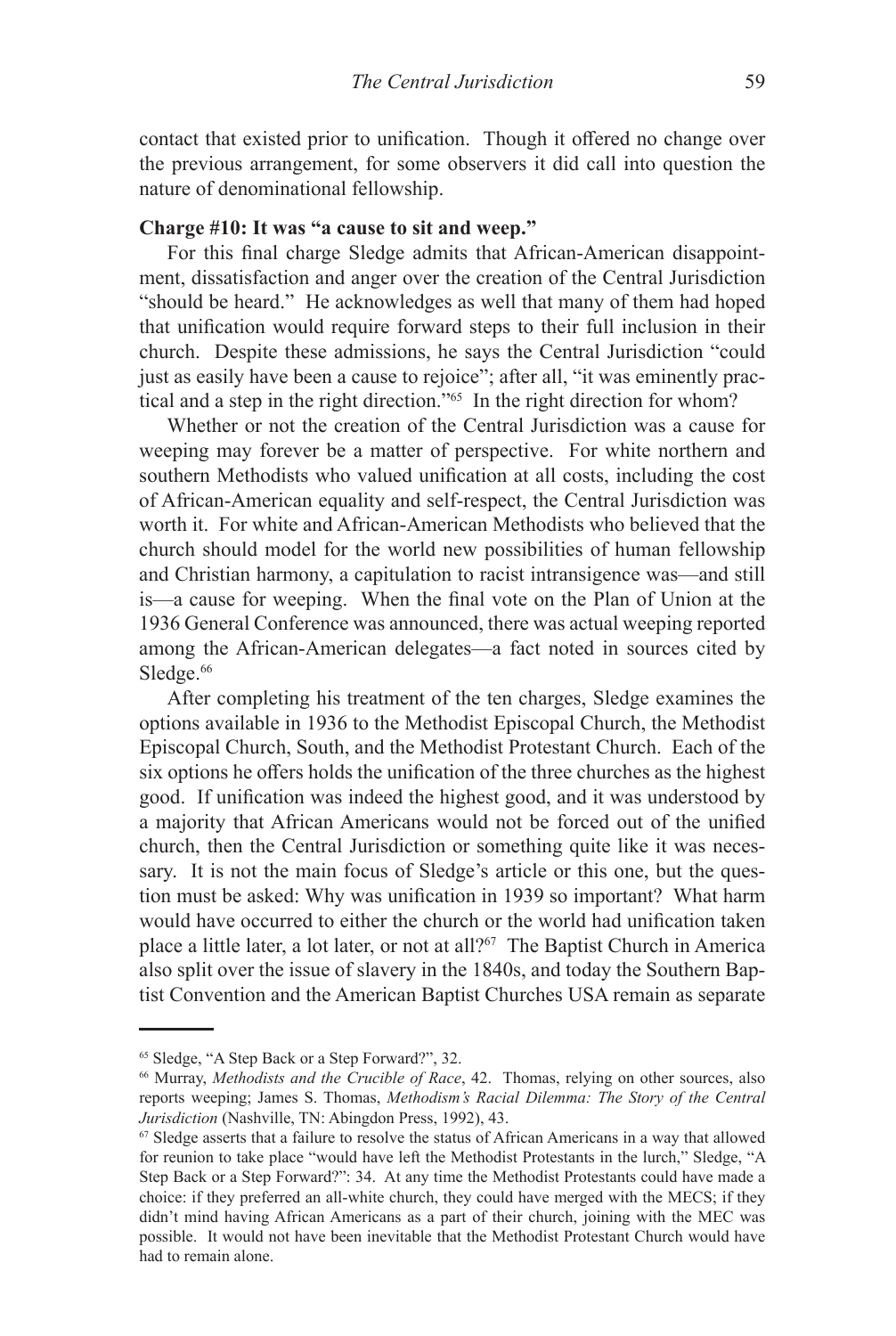contact that existed prior to unification. Though it offered no change over the previous arrangement, for some observers it did call into question the nature of denominational fellowship.

## **Charge #10: It was "a cause to sit and weep."**

For this final charge Sledge admits that African-American disappointment, dissatisfaction and anger over the creation of the Central Jurisdiction "should be heard." He acknowledges as well that many of them had hoped that unification would require forward steps to their full inclusion in their church. Despite these admissions, he says the Central Jurisdiction "could just as easily have been a cause to rejoice"; after all, "it was eminently practical and a step in the right direction."65 In the right direction for whom?

Whether or not the creation of the Central Jurisdiction was a cause for weeping may forever be a matter of perspective. For white northern and southern Methodists who valued unification at all costs, including the cost of African-American equality and self-respect, the Central Jurisdiction was worth it. For white and African-American Methodists who believed that the church should model for the world new possibilities of human fellowship and Christian harmony, a capitulation to racist intransigence was—and still is—a cause for weeping. When the final vote on the Plan of Union at the 1936 General Conference was announced, there was actual weeping reported among the African-American delegates—a fact noted in sources cited by Sledge.<sup>66</sup>

After completing his treatment of the ten charges, Sledge examines the options available in 1936 to the Methodist Episcopal Church, the Methodist Episcopal Church, South, and the Methodist Protestant Church. Each of the six options he offers holds the unification of the three churches as the highest good. If unification was indeed the highest good, and it was understood by a majority that African Americans would not be forced out of the unified church, then the Central Jurisdiction or something quite like it was necessary. It is not the main focus of Sledge's article or this one, but the question must be asked: Why was unification in 1939 so important? What harm would have occurred to either the church or the world had unification taken place a little later, a lot later, or not at all?<sup>67</sup> The Baptist Church in America also split over the issue of slavery in the 1840s, and today the Southern Baptist Convention and the American Baptist Churches USA remain as separate

<sup>65</sup> Sledge, "A Step Back or a Step Forward?", 32.

<sup>66</sup> Murray, *Methodists and the Crucible of Race*, 42. Thomas, relying on other sources, also reports weeping; James S. Thomas, *Methodism's Racial Dilemma: The Story of the Central Jurisdiction* (Nashville, TN: Abingdon Press, 1992), 43.

 $67$  Sledge asserts that a failure to resolve the status of African Americans in a way that allowed for reunion to take place "would have left the Methodist Protestants in the lurch," Sledge, "A Step Back or a Step Forward?": 34. At any time the Methodist Protestants could have made a choice: if they preferred an all-white church, they could have merged with the MECS; if they didn't mind having African Americans as a part of their church, joining with the MEC was possible. It would not have been inevitable that the Methodist Protestant Church would have had to remain alone.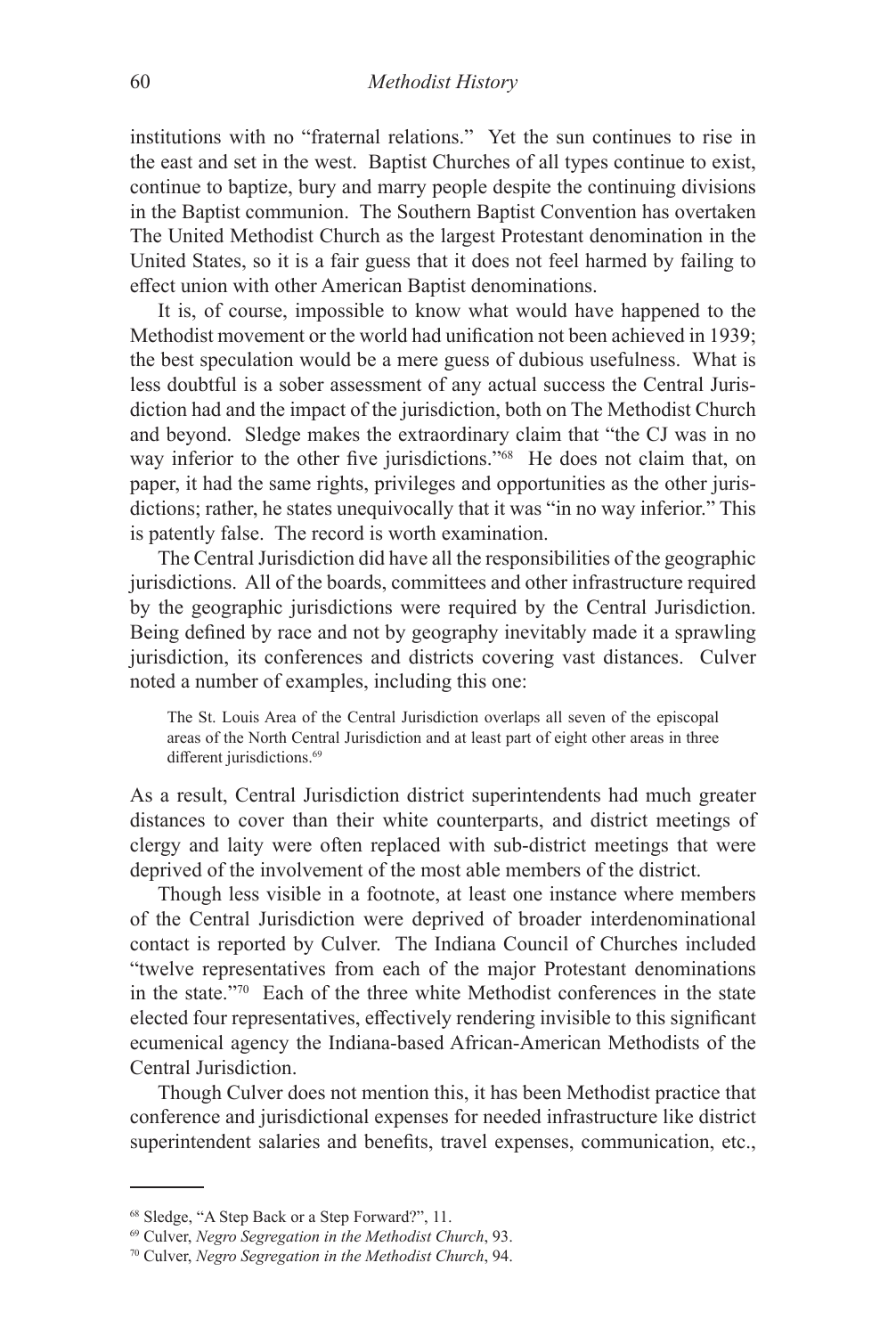institutions with no "fraternal relations." Yet the sun continues to rise in the east and set in the west. Baptist Churches of all types continue to exist, continue to baptize, bury and marry people despite the continuing divisions in the Baptist communion. The Southern Baptist Convention has overtaken The United Methodist Church as the largest Protestant denomination in the United States, so it is a fair guess that it does not feel harmed by failing to effect union with other American Baptist denominations.

It is, of course, impossible to know what would have happened to the Methodist movement or the world had unification not been achieved in 1939; the best speculation would be a mere guess of dubious usefulness. What is less doubtful is a sober assessment of any actual success the Central Jurisdiction had and the impact of the jurisdiction, both on The Methodist Church and beyond. Sledge makes the extraordinary claim that "the CJ was in no way inferior to the other five jurisdictions."68 He does not claim that, on paper, it had the same rights, privileges and opportunities as the other jurisdictions; rather, he states unequivocally that it was "in no way inferior." This is patently false. The record is worth examination.

The Central Jurisdiction did have all the responsibilities of the geographic jurisdictions. All of the boards, committees and other infrastructure required by the geographic jurisdictions were required by the Central Jurisdiction. Being defined by race and not by geography inevitably made it a sprawling jurisdiction, its conferences and districts covering vast distances. Culver noted a number of examples, including this one:

The St. Louis Area of the Central Jurisdiction overlaps all seven of the episcopal areas of the North Central Jurisdiction and at least part of eight other areas in three different jurisdictions.<sup>69</sup>

As a result, Central Jurisdiction district superintendents had much greater distances to cover than their white counterparts, and district meetings of clergy and laity were often replaced with sub-district meetings that were deprived of the involvement of the most able members of the district.

Though less visible in a footnote, at least one instance where members of the Central Jurisdiction were deprived of broader interdenominational contact is reported by Culver. The Indiana Council of Churches included "twelve representatives from each of the major Protestant denominations in the state."70 Each of the three white Methodist conferences in the state elected four representatives, effectively rendering invisible to this significant ecumenical agency the Indiana-based African-American Methodists of the Central Jurisdiction.

Though Culver does not mention this, it has been Methodist practice that conference and jurisdictional expenses for needed infrastructure like district superintendent salaries and benefits, travel expenses, communication, etc.,

<sup>68</sup> Sledge, "A Step Back or a Step Forward?", 11.

<sup>69</sup> Culver, *Negro Segregation in the Methodist Church*, 93.

<sup>70</sup> Culver, *Negro Segregation in the Methodist Church*, 94.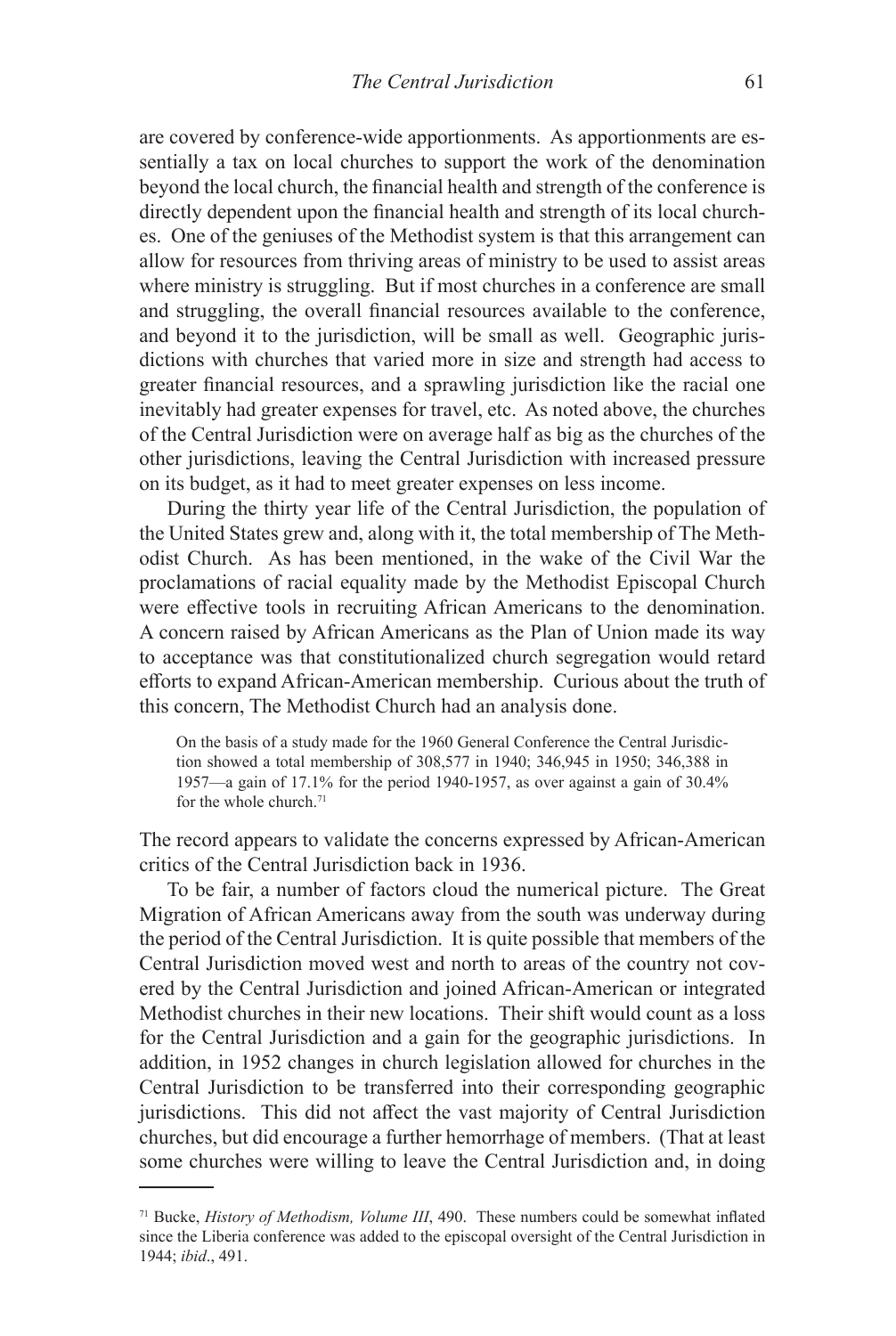are covered by conference-wide apportionments. As apportionments are essentially a tax on local churches to support the work of the denomination beyond the local church, the financial health and strength of the conference is directly dependent upon the financial health and strength of its local churches. One of the geniuses of the Methodist system is that this arrangement can allow for resources from thriving areas of ministry to be used to assist areas where ministry is struggling. But if most churches in a conference are small and struggling, the overall financial resources available to the conference, and beyond it to the jurisdiction, will be small as well. Geographic jurisdictions with churches that varied more in size and strength had access to greater financial resources, and a sprawling jurisdiction like the racial one inevitably had greater expenses for travel, etc. As noted above, the churches of the Central Jurisdiction were on average half as big as the churches of the other jurisdictions, leaving the Central Jurisdiction with increased pressure on its budget, as it had to meet greater expenses on less income.

During the thirty year life of the Central Jurisdiction, the population of the United States grew and, along with it, the total membership of The Methodist Church. As has been mentioned, in the wake of the Civil War the proclamations of racial equality made by the Methodist Episcopal Church were effective tools in recruiting African Americans to the denomination. A concern raised by African Americans as the Plan of Union made its way to acceptance was that constitutionalized church segregation would retard efforts to expand African-American membership. Curious about the truth of this concern, The Methodist Church had an analysis done.

On the basis of a study made for the 1960 General Conference the Central Jurisdiction showed a total membership of 308,577 in 1940; 346,945 in 1950; 346,388 in 1957—a gain of 17.1% for the period 1940-1957, as over against a gain of 30.4% for the whole church.<sup>71</sup>

The record appears to validate the concerns expressed by African-American critics of the Central Jurisdiction back in 1936.

To be fair, a number of factors cloud the numerical picture. The Great Migration of African Americans away from the south was underway during the period of the Central Jurisdiction. It is quite possible that members of the Central Jurisdiction moved west and north to areas of the country not covered by the Central Jurisdiction and joined African-American or integrated Methodist churches in their new locations. Their shift would count as a loss for the Central Jurisdiction and a gain for the geographic jurisdictions. In addition, in 1952 changes in church legislation allowed for churches in the Central Jurisdiction to be transferred into their corresponding geographic jurisdictions. This did not affect the vast majority of Central Jurisdiction churches, but did encourage a further hemorrhage of members. (That at least some churches were willing to leave the Central Jurisdiction and, in doing

<sup>71</sup> Bucke, *History of Methodism, Volume III*, 490. These numbers could be somewhat inflated since the Liberia conference was added to the episcopal oversight of the Central Jurisdiction in 1944; *ibid*., 491.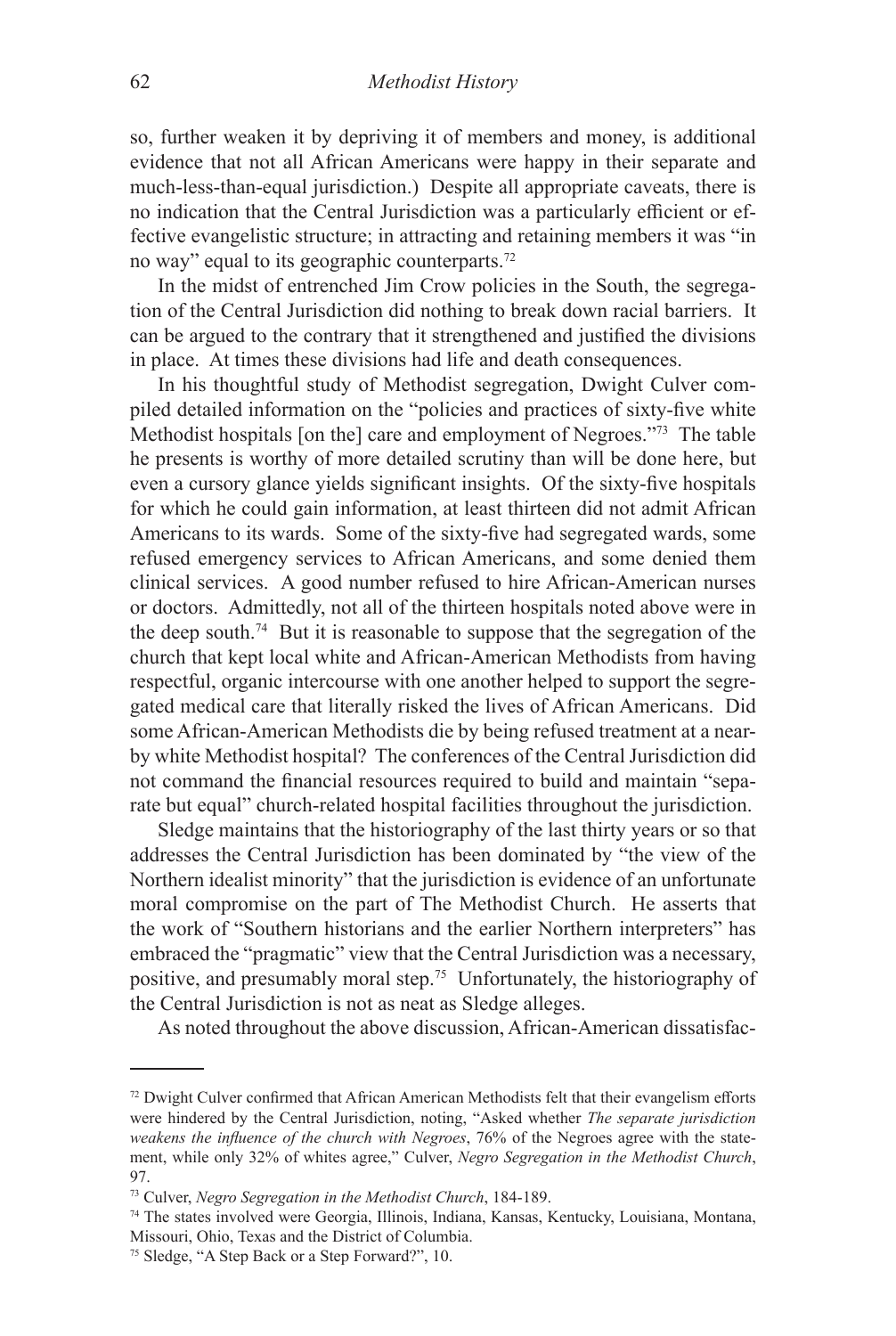so, further weaken it by depriving it of members and money, is additional evidence that not all African Americans were happy in their separate and much-less-than-equal jurisdiction.) Despite all appropriate caveats, there is no indication that the Central Jurisdiction was a particularly efficient or effective evangelistic structure; in attracting and retaining members it was "in no way" equal to its geographic counterparts.72

In the midst of entrenched Jim Crow policies in the South, the segregation of the Central Jurisdiction did nothing to break down racial barriers. It can be argued to the contrary that it strengthened and justified the divisions in place. At times these divisions had life and death consequences.

In his thoughtful study of Methodist segregation, Dwight Culver compiled detailed information on the "policies and practices of sixty-five white Methodist hospitals [on the] care and employment of Negroes."73 The table he presents is worthy of more detailed scrutiny than will be done here, but even a cursory glance yields significant insights. Of the sixty-five hospitals for which he could gain information, at least thirteen did not admit African Americans to its wards. Some of the sixty-five had segregated wards, some refused emergency services to African Americans, and some denied them clinical services. A good number refused to hire African-American nurses or doctors. Admittedly, not all of the thirteen hospitals noted above were in the deep south.74 But it is reasonable to suppose that the segregation of the church that kept local white and African-American Methodists from having respectful, organic intercourse with one another helped to support the segregated medical care that literally risked the lives of African Americans. Did some African-American Methodists die by being refused treatment at a nearby white Methodist hospital? The conferences of the Central Jurisdiction did not command the financial resources required to build and maintain "separate but equal" church-related hospital facilities throughout the jurisdiction.

Sledge maintains that the historiography of the last thirty years or so that addresses the Central Jurisdiction has been dominated by "the view of the Northern idealist minority" that the jurisdiction is evidence of an unfortunate moral compromise on the part of The Methodist Church. He asserts that the work of "Southern historians and the earlier Northern interpreters" has embraced the "pragmatic" view that the Central Jurisdiction was a necessary, positive, and presumably moral step.75 Unfortunately, the historiography of the Central Jurisdiction is not as neat as Sledge alleges.

As noted throughout the above discussion, African-American dissatisfac-

 $72$  Dwight Culver confirmed that African American Methodists felt that their evangelism efforts were hindered by the Central Jurisdiction, noting, "Asked whether *The separate jurisdiction weakens the influence of the church with Negroes*, 76% of the Negroes agree with the statement, while only 32% of whites agree," Culver, *Negro Segregation in the Methodist Church*, 97.

<sup>73</sup> Culver, *Negro Segregation in the Methodist Church*, 184-189.

<sup>74</sup> The states involved were Georgia, Illinois, Indiana, Kansas, Kentucky, Louisiana, Montana, Missouri, Ohio, Texas and the District of Columbia.

<sup>75</sup> Sledge, "A Step Back or a Step Forward?", 10.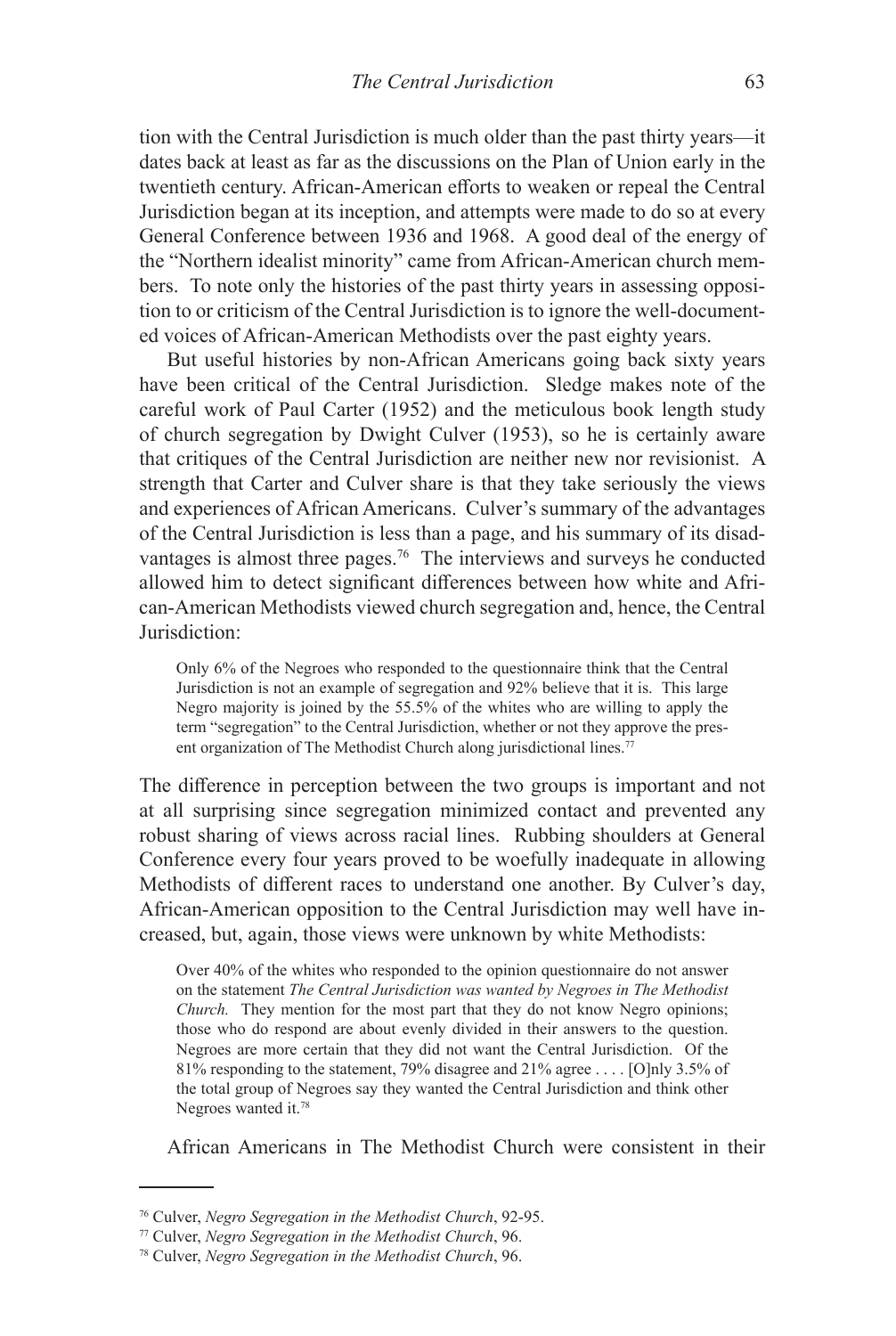tion with the Central Jurisdiction is much older than the past thirty years—it dates back at least as far as the discussions on the Plan of Union early in the twentieth century. African-American efforts to weaken or repeal the Central Jurisdiction began at its inception, and attempts were made to do so at every General Conference between 1936 and 1968. A good deal of the energy of the "Northern idealist minority" came from African-American church members. To note only the histories of the past thirty years in assessing opposition to or criticism of the Central Jurisdiction is to ignore the well-documented voices of African-American Methodists over the past eighty years.

But useful histories by non-African Americans going back sixty years have been critical of the Central Jurisdiction. Sledge makes note of the careful work of Paul Carter (1952) and the meticulous book length study of church segregation by Dwight Culver (1953), so he is certainly aware that critiques of the Central Jurisdiction are neither new nor revisionist. A strength that Carter and Culver share is that they take seriously the views and experiences of African Americans. Culver's summary of the advantages of the Central Jurisdiction is less than a page, and his summary of its disadvantages is almost three pages.<sup>76</sup> The interviews and surveys he conducted allowed him to detect significant differences between how white and African-American Methodists viewed church segregation and, hence, the Central Jurisdiction:

Only 6% of the Negroes who responded to the questionnaire think that the Central Jurisdiction is not an example of segregation and 92% believe that it is. This large Negro majority is joined by the 55.5% of the whites who are willing to apply the term "segregation" to the Central Jurisdiction, whether or not they approve the present organization of The Methodist Church along jurisdictional lines.<sup>77</sup>

The difference in perception between the two groups is important and not at all surprising since segregation minimized contact and prevented any robust sharing of views across racial lines. Rubbing shoulders at General Conference every four years proved to be woefully inadequate in allowing Methodists of different races to understand one another. By Culver's day, African-American opposition to the Central Jurisdiction may well have increased, but, again, those views were unknown by white Methodists:

Over 40% of the whites who responded to the opinion questionnaire do not answer on the statement *The Central Jurisdiction was wanted by Negroes in The Methodist Church.* They mention for the most part that they do not know Negro opinions; those who do respond are about evenly divided in their answers to the question. Negroes are more certain that they did not want the Central Jurisdiction. Of the 81% responding to the statement, 79% disagree and 21% agree . . . . [O]nly 3.5% of the total group of Negroes say they wanted the Central Jurisdiction and think other Negroes wanted it.78

African Americans in The Methodist Church were consistent in their

<sup>76</sup> Culver, *Negro Segregation in the Methodist Church*, 92-95.

<sup>77</sup> Culver, *Negro Segregation in the Methodist Church*, 96.

<sup>78</sup> Culver, *Negro Segregation in the Methodist Church*, 96.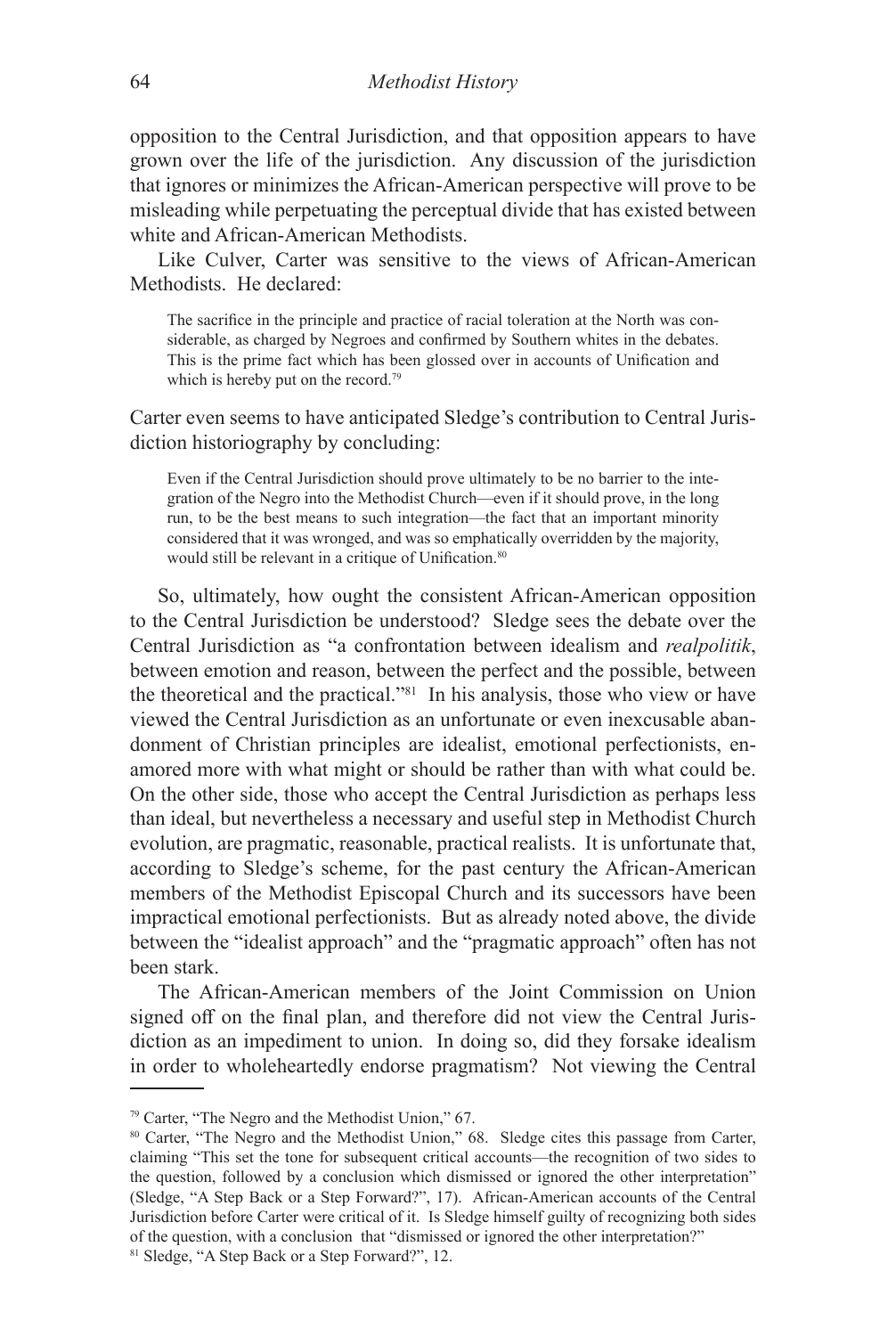opposition to the Central Jurisdiction, and that opposition appears to have grown over the life of the jurisdiction. Any discussion of the jurisdiction that ignores or minimizes the African-American perspective will prove to be misleading while perpetuating the perceptual divide that has existed between white and African-American Methodists.

Like Culver, Carter was sensitive to the views of African-American Methodists. He declared:

The sacrifice in the principle and practice of racial toleration at the North was considerable, as charged by Negroes and confirmed by Southern whites in the debates. This is the prime fact which has been glossed over in accounts of Unification and which is hereby put on the record.<sup>79</sup>

Carter even seems to have anticipated Sledge's contribution to Central Jurisdiction historiography by concluding:

Even if the Central Jurisdiction should prove ultimately to be no barrier to the integration of the Negro into the Methodist Church—even if it should prove, in the long run, to be the best means to such integration—the fact that an important minority considered that it was wronged, and was so emphatically overridden by the majority, would still be relevant in a critique of Unification.<sup>80</sup>

So, ultimately, how ought the consistent African-American opposition to the Central Jurisdiction be understood? Sledge sees the debate over the Central Jurisdiction as "a confrontation between idealism and *realpolitik*, between emotion and reason, between the perfect and the possible, between the theoretical and the practical."81 In his analysis, those who view or have viewed the Central Jurisdiction as an unfortunate or even inexcusable abandonment of Christian principles are idealist, emotional perfectionists, enamored more with what might or should be rather than with what could be. On the other side, those who accept the Central Jurisdiction as perhaps less than ideal, but nevertheless a necessary and useful step in Methodist Church evolution, are pragmatic, reasonable, practical realists. It is unfortunate that, according to Sledge's scheme, for the past century the African-American members of the Methodist Episcopal Church and its successors have been impractical emotional perfectionists. But as already noted above, the divide between the "idealist approach" and the "pragmatic approach" often has not been stark.

The African-American members of the Joint Commission on Union signed off on the final plan, and therefore did not view the Central Jurisdiction as an impediment to union. In doing so, did they forsake idealism in order to wholeheartedly endorse pragmatism? Not viewing the Central

<sup>79</sup> Carter, "The Negro and the Methodist Union," 67.

<sup>80</sup> Carter, "The Negro and the Methodist Union," 68. Sledge cites this passage from Carter, claiming "This set the tone for subsequent critical accounts—the recognition of two sides to the question, followed by a conclusion which dismissed or ignored the other interpretation" (Sledge, "A Step Back or a Step Forward?", 17). African-American accounts of the Central Jurisdiction before Carter were critical of it. Is Sledge himself guilty of recognizing both sides of the question, with a conclusion that "dismissed or ignored the other interpretation?" 81 Sledge, "A Step Back or a Step Forward?", 12.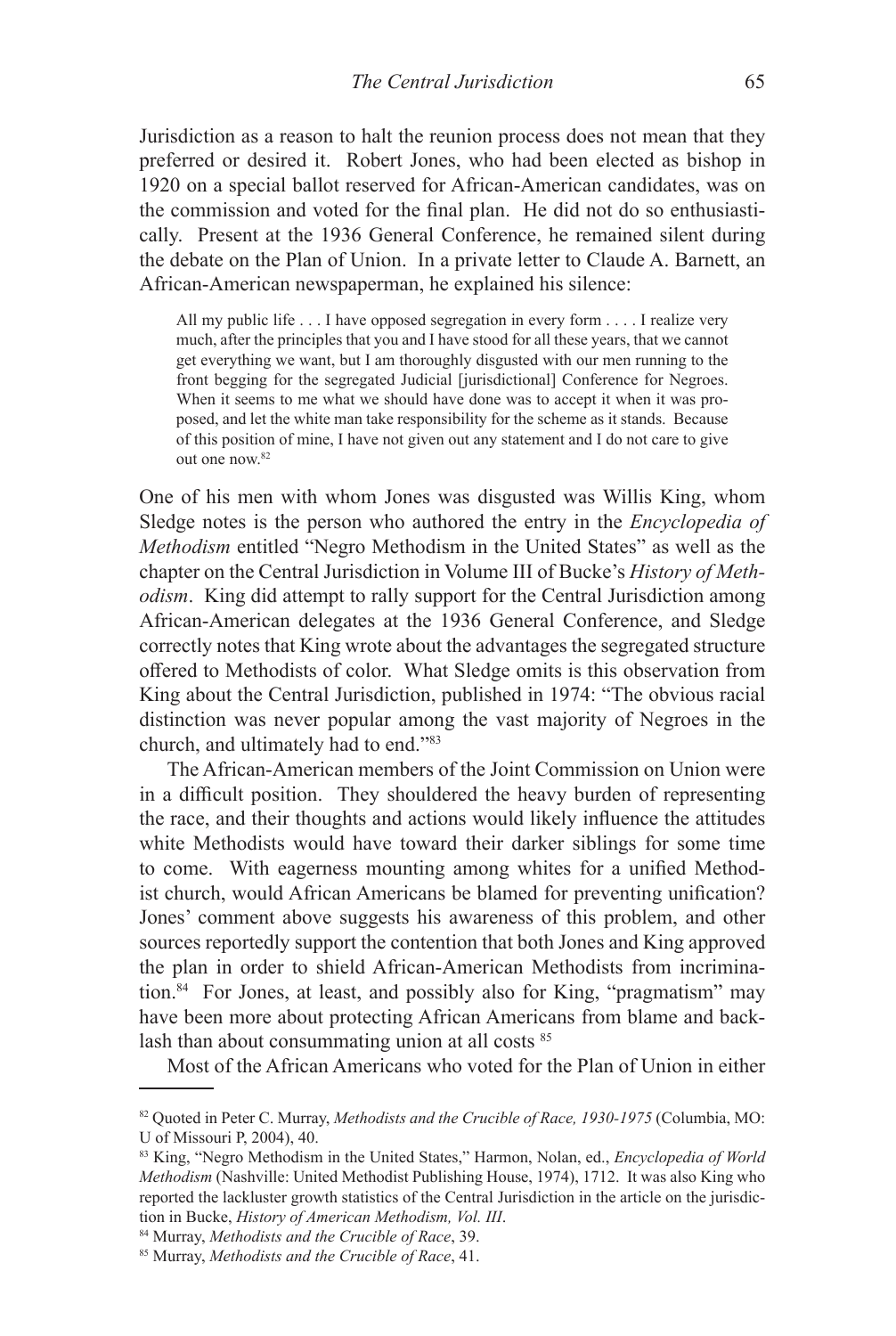Jurisdiction as a reason to halt the reunion process does not mean that they preferred or desired it. Robert Jones, who had been elected as bishop in 1920 on a special ballot reserved for African-American candidates, was on the commission and voted for the final plan. He did not do so enthusiastically. Present at the 1936 General Conference, he remained silent during the debate on the Plan of Union. In a private letter to Claude A. Barnett, an African-American newspaperman, he explained his silence:

All my public life . . . I have opposed segregation in every form . . . . I realize very much, after the principles that you and I have stood for all these years, that we cannot get everything we want, but I am thoroughly disgusted with our men running to the front begging for the segregated Judicial [jurisdictional] Conference for Negroes. When it seems to me what we should have done was to accept it when it was proposed, and let the white man take responsibility for the scheme as it stands. Because of this position of mine, I have not given out any statement and I do not care to give out one now.82

One of his men with whom Jones was disgusted was Willis King, whom Sledge notes is the person who authored the entry in the *Encyclopedia of Methodism* entitled "Negro Methodism in the United States" as well as the chapter on the Central Jurisdiction in Volume III of Bucke's *History of Methodism*. King did attempt to rally support for the Central Jurisdiction among African-American delegates at the 1936 General Conference, and Sledge correctly notes that King wrote about the advantages the segregated structure offered to Methodists of color. What Sledge omits is this observation from King about the Central Jurisdiction, published in 1974: "The obvious racial distinction was never popular among the vast majority of Negroes in the church, and ultimately had to end."83

The African-American members of the Joint Commission on Union were in a difficult position. They shouldered the heavy burden of representing the race, and their thoughts and actions would likely influence the attitudes white Methodists would have toward their darker siblings for some time to come. With eagerness mounting among whites for a unified Methodist church, would African Americans be blamed for preventing unification? Jones' comment above suggests his awareness of this problem, and other sources reportedly support the contention that both Jones and King approved the plan in order to shield African-American Methodists from incrimination.<sup>84</sup> For Jones, at least, and possibly also for King, "pragmatism" may have been more about protecting African Americans from blame and backlash than about consummating union at all costs <sup>85</sup>

Most of the African Americans who voted for the Plan of Union in either

<sup>82</sup> Quoted in Peter C. Murray, *Methodists and the Crucible of Race, 1930-1975* (Columbia, MO: U of Missouri P, 2004), 40.

<sup>83</sup> King, "Negro Methodism in the United States," Harmon, Nolan, ed., *Encyclopedia of World Methodism* (Nashville: United Methodist Publishing House, 1974), 1712. It was also King who reported the lackluster growth statistics of the Central Jurisdiction in the article on the jurisdiction in Bucke, *History of American Methodism, Vol. III*.

<sup>84</sup> Murray, *Methodists and the Crucible of Race*, 39.

<sup>85</sup> Murray, *Methodists and the Crucible of Race*, 41.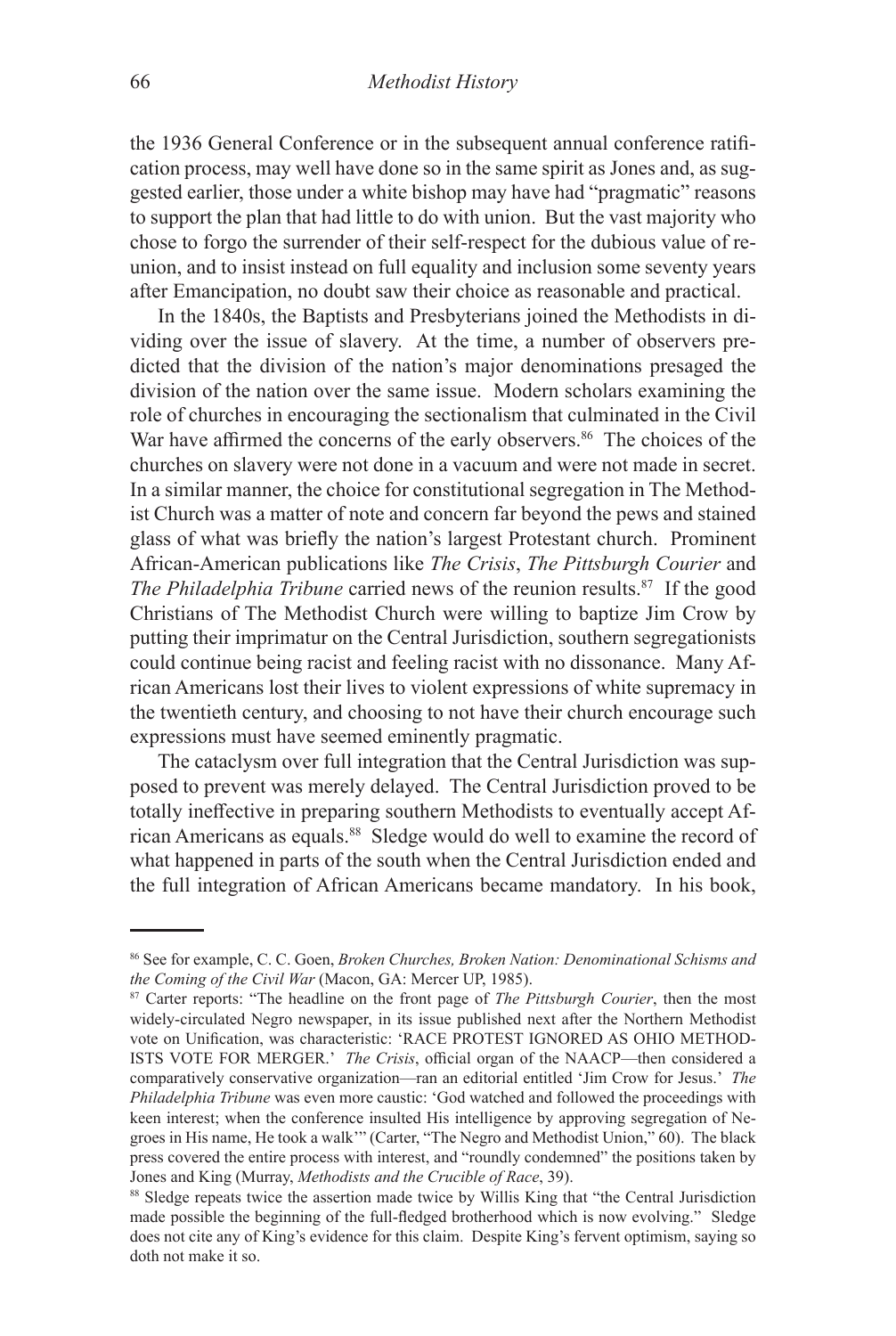the 1936 General Conference or in the subsequent annual conference ratification process, may well have done so in the same spirit as Jones and, as suggested earlier, those under a white bishop may have had "pragmatic" reasons to support the plan that had little to do with union. But the vast majority who chose to forgo the surrender of their self-respect for the dubious value of reunion, and to insist instead on full equality and inclusion some seventy years after Emancipation, no doubt saw their choice as reasonable and practical.

In the 1840s, the Baptists and Presbyterians joined the Methodists in dividing over the issue of slavery. At the time, a number of observers predicted that the division of the nation's major denominations presaged the division of the nation over the same issue. Modern scholars examining the role of churches in encouraging the sectionalism that culminated in the Civil War have affirmed the concerns of the early observers.<sup>86</sup> The choices of the churches on slavery were not done in a vacuum and were not made in secret. In a similar manner, the choice for constitutional segregation in The Methodist Church was a matter of note and concern far beyond the pews and stained glass of what was briefly the nation's largest Protestant church. Prominent African-American publications like *The Crisis*, *The Pittsburgh Courier* and *The Philadelphia Tribune* carried news of the reunion results.<sup>87</sup> If the good Christians of The Methodist Church were willing to baptize Jim Crow by putting their imprimatur on the Central Jurisdiction, southern segregationists could continue being racist and feeling racist with no dissonance. Many African Americans lost their lives to violent expressions of white supremacy in the twentieth century, and choosing to not have their church encourage such expressions must have seemed eminently pragmatic.

The cataclysm over full integration that the Central Jurisdiction was supposed to prevent was merely delayed. The Central Jurisdiction proved to be totally ineffective in preparing southern Methodists to eventually accept African Americans as equals.<sup>88</sup> Sledge would do well to examine the record of what happened in parts of the south when the Central Jurisdiction ended and the full integration of African Americans became mandatory. In his book,

<sup>86</sup> See for example, C. C. Goen, *Broken Churches, Broken Nation: Denominational Schisms and the Coming of the Civil War* (Macon, GA: Mercer UP, 1985).

<sup>87</sup> Carter reports: "The headline on the front page of *The Pittsburgh Courier*, then the most widely-circulated Negro newspaper, in its issue published next after the Northern Methodist vote on Unification, was characteristic: 'RACE PROTEST IGNORED AS OHIO METHOD-ISTS VOTE FOR MERGER.' *The Crisis*, official organ of the NAACP—then considered a comparatively conservative organization—ran an editorial entitled 'Jim Crow for Jesus.' *The Philadelphia Tribune* was even more caustic: 'God watched and followed the proceedings with keen interest; when the conference insulted His intelligence by approving segregation of Negroes in His name, He took a walk'" (Carter, "The Negro and Methodist Union," 60). The black press covered the entire process with interest, and "roundly condemned" the positions taken by Jones and King (Murray, *Methodists and the Crucible of Race*, 39).

<sup>88</sup> Sledge repeats twice the assertion made twice by Willis King that "the Central Jurisdiction" made possible the beginning of the full-fledged brotherhood which is now evolving." Sledge does not cite any of King's evidence for this claim. Despite King's fervent optimism, saying so doth not make it so.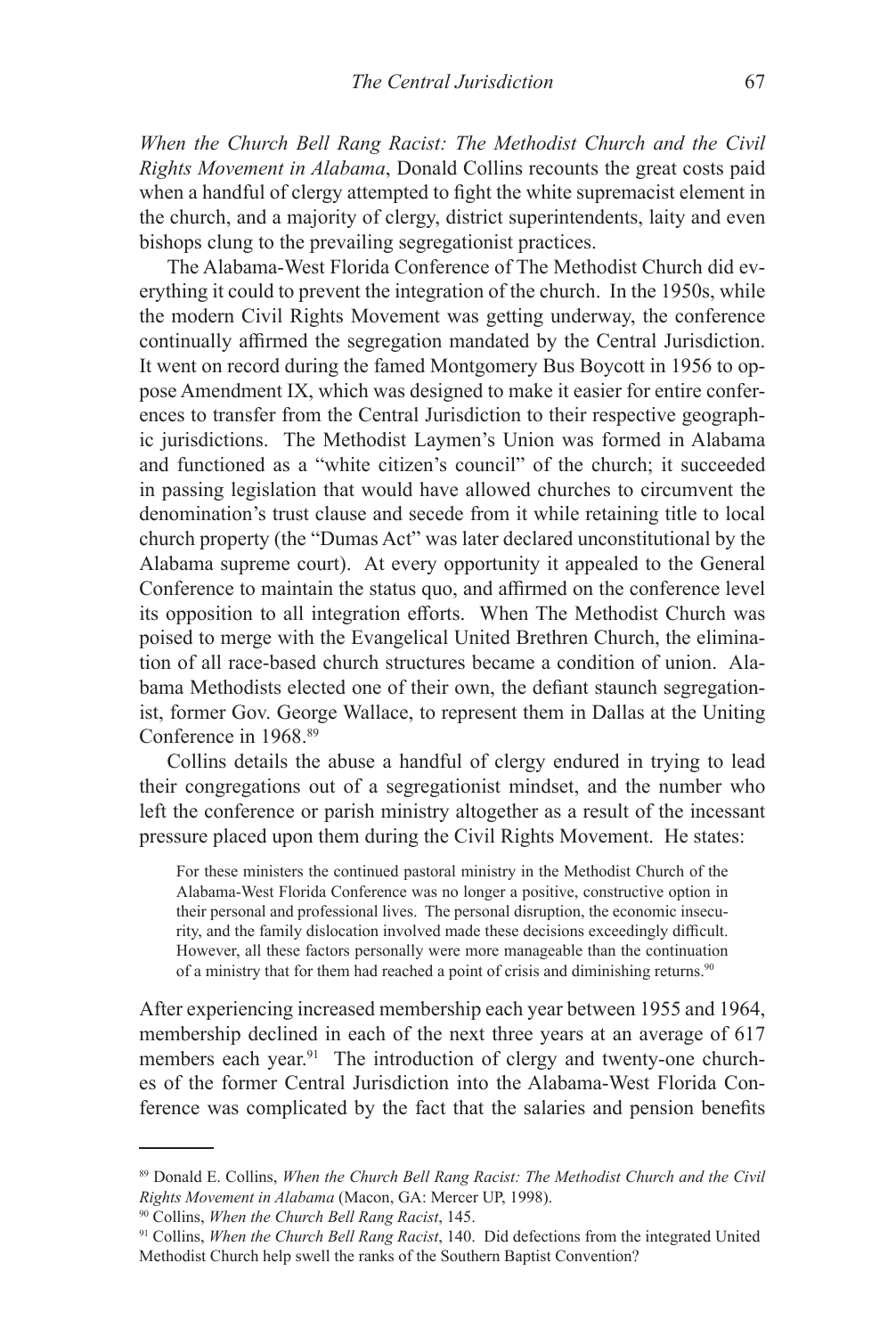*When the Church Bell Rang Racist: The Methodist Church and the Civil Rights Movement in Alabama*, Donald Collins recounts the great costs paid when a handful of clergy attempted to fight the white supremacist element in the church, and a majority of clergy, district superintendents, laity and even bishops clung to the prevailing segregationist practices.

The Alabama-West Florida Conference of The Methodist Church did everything it could to prevent the integration of the church. In the 1950s, while the modern Civil Rights Movement was getting underway, the conference continually affirmed the segregation mandated by the Central Jurisdiction. It went on record during the famed Montgomery Bus Boycott in 1956 to oppose Amendment IX, which was designed to make it easier for entire conferences to transfer from the Central Jurisdiction to their respective geographic jurisdictions. The Methodist Laymen's Union was formed in Alabama and functioned as a "white citizen's council" of the church; it succeeded in passing legislation that would have allowed churches to circumvent the denomination's trust clause and secede from it while retaining title to local church property (the "Dumas Act" was later declared unconstitutional by the Alabama supreme court). At every opportunity it appealed to the General Conference to maintain the status quo, and affirmed on the conference level its opposition to all integration efforts. When The Methodist Church was poised to merge with the Evangelical United Brethren Church, the elimination of all race-based church structures became a condition of union. Alabama Methodists elected one of their own, the defiant staunch segregationist, former Gov. George Wallace, to represent them in Dallas at the Uniting Conference in 1968.89

Collins details the abuse a handful of clergy endured in trying to lead their congregations out of a segregationist mindset, and the number who left the conference or parish ministry altogether as a result of the incessant pressure placed upon them during the Civil Rights Movement. He states:

For these ministers the continued pastoral ministry in the Methodist Church of the Alabama-West Florida Conference was no longer a positive, constructive option in their personal and professional lives. The personal disruption, the economic insecurity, and the family dislocation involved made these decisions exceedingly difficult. However, all these factors personally were more manageable than the continuation of a ministry that for them had reached a point of crisis and diminishing returns.<sup>90</sup>

After experiencing increased membership each year between 1955 and 1964, membership declined in each of the next three years at an average of 617 members each year.<sup>91</sup> The introduction of clergy and twenty-one churches of the former Central Jurisdiction into the Alabama-West Florida Conference was complicated by the fact that the salaries and pension benefits

<sup>89</sup> Donald E. Collins, *When the Church Bell Rang Racist: The Methodist Church and the Civil Rights Movement in Alabama* (Macon, GA: Mercer UP, 1998).

<sup>90</sup> Collins, *When the Church Bell Rang Racist*, 145.

<sup>91</sup> Collins, *When the Church Bell Rang Racist*, 140. Did defections from the integrated United Methodist Church help swell the ranks of the Southern Baptist Convention?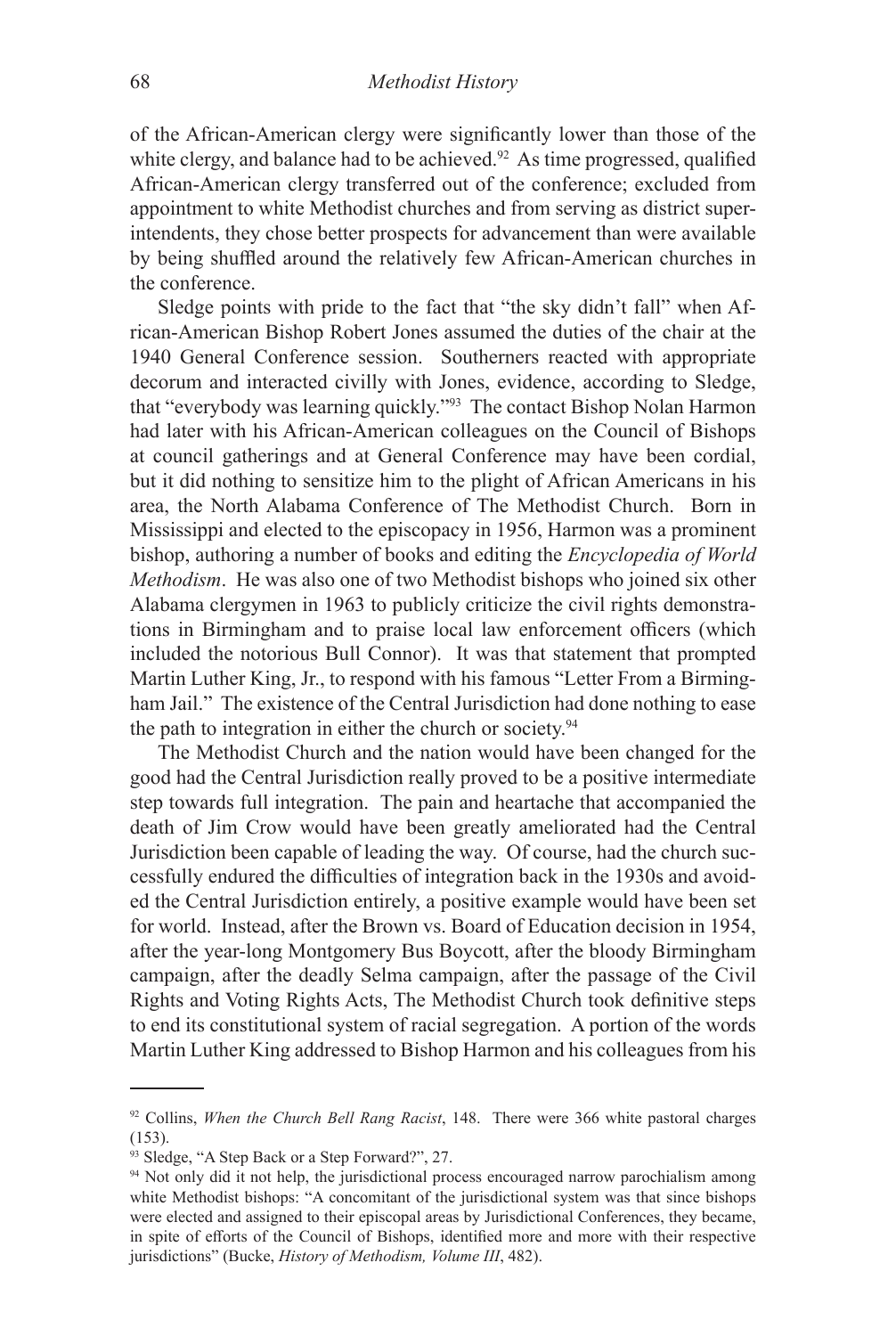of the African-American clergy were significantly lower than those of the white clergy, and balance had to be achieved.<sup>92</sup> As time progressed, qualified African-American clergy transferred out of the conference; excluded from appointment to white Methodist churches and from serving as district superintendents, they chose better prospects for advancement than were available by being shuffled around the relatively few African-American churches in the conference.

Sledge points with pride to the fact that "the sky didn't fall" when African-American Bishop Robert Jones assumed the duties of the chair at the 1940 General Conference session. Southerners reacted with appropriate decorum and interacted civilly with Jones, evidence, according to Sledge, that "everybody was learning quickly."93 The contact Bishop Nolan Harmon had later with his African-American colleagues on the Council of Bishops at council gatherings and at General Conference may have been cordial, but it did nothing to sensitize him to the plight of African Americans in his area, the North Alabama Conference of The Methodist Church. Born in Mississippi and elected to the episcopacy in 1956, Harmon was a prominent bishop, authoring a number of books and editing the *Encyclopedia of World Methodism*. He was also one of two Methodist bishops who joined six other Alabama clergymen in 1963 to publicly criticize the civil rights demonstrations in Birmingham and to praise local law enforcement officers (which included the notorious Bull Connor). It was that statement that prompted Martin Luther King, Jr., to respond with his famous "Letter From a Birmingham Jail." The existence of the Central Jurisdiction had done nothing to ease the path to integration in either the church or society.<sup>94</sup>

The Methodist Church and the nation would have been changed for the good had the Central Jurisdiction really proved to be a positive intermediate step towards full integration. The pain and heartache that accompanied the death of Jim Crow would have been greatly ameliorated had the Central Jurisdiction been capable of leading the way. Of course, had the church successfully endured the difficulties of integration back in the 1930s and avoided the Central Jurisdiction entirely, a positive example would have been set for world. Instead, after the Brown vs. Board of Education decision in 1954, after the year-long Montgomery Bus Boycott, after the bloody Birmingham campaign, after the deadly Selma campaign, after the passage of the Civil Rights and Voting Rights Acts, The Methodist Church took definitive steps to end its constitutional system of racial segregation. A portion of the words Martin Luther King addressed to Bishop Harmon and his colleagues from his

<sup>92</sup> Collins, *When the Church Bell Rang Racist*, 148. There were 366 white pastoral charges (153).

<sup>93</sup> Sledge, "A Step Back or a Step Forward?", 27.

<sup>&</sup>lt;sup>94</sup> Not only did it not help, the jurisdictional process encouraged narrow parochialism among white Methodist bishops: "A concomitant of the jurisdictional system was that since bishops were elected and assigned to their episcopal areas by Jurisdictional Conferences, they became, in spite of efforts of the Council of Bishops, identified more and more with their respective jurisdictions" (Bucke, *History of Methodism, Volume III*, 482).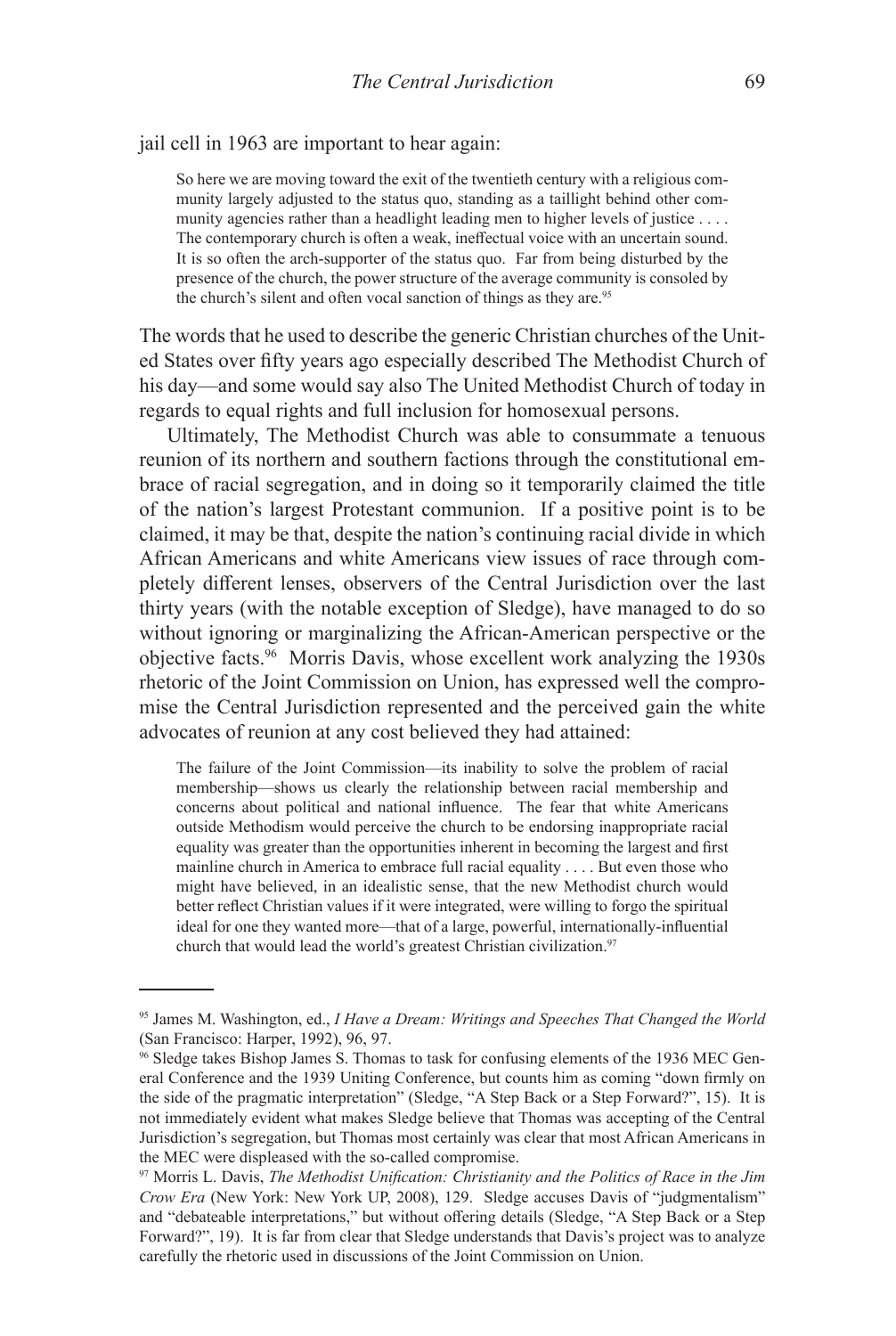jail cell in 1963 are important to hear again:

So here we are moving toward the exit of the twentieth century with a religious community largely adjusted to the status quo, standing as a taillight behind other community agencies rather than a headlight leading men to higher levels of justice . . . . The contemporary church is often a weak, ineffectual voice with an uncertain sound. It is so often the arch-supporter of the status quo. Far from being disturbed by the presence of the church, the power structure of the average community is consoled by the church's silent and often vocal sanction of things as they are.<sup>95</sup>

The words that he used to describe the generic Christian churches of the United States over fifty years ago especially described The Methodist Church of his day—and some would say also The United Methodist Church of today in regards to equal rights and full inclusion for homosexual persons.

Ultimately, The Methodist Church was able to consummate a tenuous reunion of its northern and southern factions through the constitutional embrace of racial segregation, and in doing so it temporarily claimed the title of the nation's largest Protestant communion. If a positive point is to be claimed, it may be that, despite the nation's continuing racial divide in which African Americans and white Americans view issues of race through completely different lenses, observers of the Central Jurisdiction over the last thirty years (with the notable exception of Sledge), have managed to do so without ignoring or marginalizing the African-American perspective or the objective facts.96 Morris Davis, whose excellent work analyzing the 1930s rhetoric of the Joint Commission on Union, has expressed well the compromise the Central Jurisdiction represented and the perceived gain the white advocates of reunion at any cost believed they had attained:

The failure of the Joint Commission—its inability to solve the problem of racial membership—shows us clearly the relationship between racial membership and concerns about political and national influence. The fear that white Americans outside Methodism would perceive the church to be endorsing inappropriate racial equality was greater than the opportunities inherent in becoming the largest and first mainline church in America to embrace full racial equality . . . . But even those who might have believed, in an idealistic sense, that the new Methodist church would better reflect Christian values if it were integrated, were willing to forgo the spiritual ideal for one they wanted more—that of a large, powerful, internationally-influential church that would lead the world's greatest Christian civilization.<sup>97</sup>

<sup>95</sup> James M. Washington, ed., *I Have a Dream: Writings and Speeches That Changed the World*  (San Francisco: Harper, 1992), 96, 97.

<sup>96</sup> Sledge takes Bishop James S. Thomas to task for confusing elements of the 1936 MEC General Conference and the 1939 Uniting Conference, but counts him as coming "down firmly on the side of the pragmatic interpretation" (Sledge, "A Step Back or a Step Forward?", 15). It is not immediately evident what makes Sledge believe that Thomas was accepting of the Central Jurisdiction's segregation, but Thomas most certainly was clear that most African Americans in the MEC were displeased with the so-called compromise.

<sup>97</sup> Morris L. Davis, *The Methodist Unification: Christianity and the Politics of Race in the Jim Crow Era* (New York: New York UP, 2008), 129. Sledge accuses Davis of "judgmentalism" and "debateable interpretations," but without offering details (Sledge, "A Step Back or a Step Forward?", 19). It is far from clear that Sledge understands that Davis's project was to analyze carefully the rhetoric used in discussions of the Joint Commission on Union.